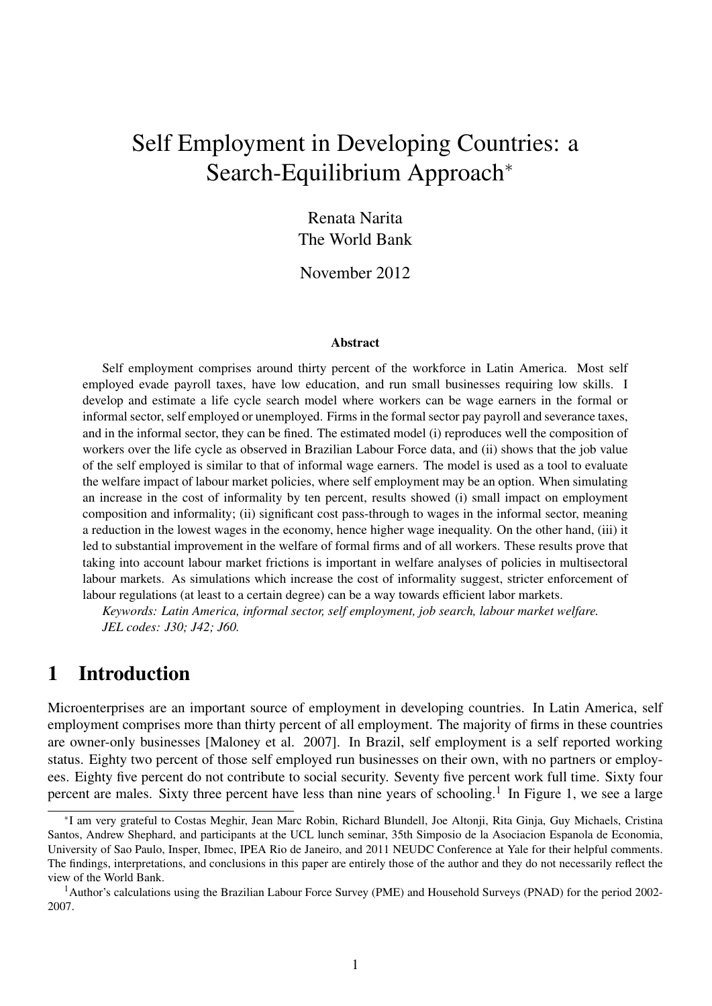# Self Employment in Developing Countries: a Search-Equilibrium Approach<sup>∗</sup>

Renata Narita The World Bank

November 2012

#### Abstract

Self employment comprises around thirty percent of the workforce in Latin America. Most self employed evade payroll taxes, have low education, and run small businesses requiring low skills. I develop and estimate a life cycle search model where workers can be wage earners in the formal or informal sector, self employed or unemployed. Firms in the formal sector pay payroll and severance taxes, and in the informal sector, they can be fined. The estimated model (i) reproduces well the composition of workers over the life cycle as observed in Brazilian Labour Force data, and (ii) shows that the job value of the self employed is similar to that of informal wage earners. The model is used as a tool to evaluate the welfare impact of labour market policies, where self employment may be an option. When simulating an increase in the cost of informality by ten percent, results showed (i) small impact on employment composition and informality; (ii) significant cost pass-through to wages in the informal sector, meaning a reduction in the lowest wages in the economy, hence higher wage inequality. On the other hand, (iii) it led to substantial improvement in the welfare of formal firms and of all workers. These results prove that taking into account labour market frictions is important in welfare analyses of policies in multisectoral labour markets. As simulations which increase the cost of informality suggest, stricter enforcement of labour regulations (at least to a certain degree) can be a way towards efficient labor markets.

*Keywords: Latin America, informal sector, self employment, job search, labour market welfare. JEL codes: J30; J42; J60.*

### 1 Introduction

Microenterprises are an important source of employment in developing countries. In Latin America, self employment comprises more than thirty percent of all employment. The majority of firms in these countries are owner-only businesses [Maloney et al. 2007]. In Brazil, self employment is a self reported working status. Eighty two percent of those self employed run businesses on their own, with no partners or employees. Eighty five percent do not contribute to social security. Seventy five percent work full time. Sixty four percent are males. Sixty three percent have less than nine years of schooling.<sup>1</sup> In Figure 1, we see a large

<sup>∗</sup> I am very grateful to Costas Meghir, Jean Marc Robin, Richard Blundell, Joe Altonji, Rita Ginja, Guy Michaels, Cristina Santos, Andrew Shephard, and participants at the UCL lunch seminar, 35th Simposio de la Asociacion Espanola de Economia, University of Sao Paulo, Insper, Ibmec, IPEA Rio de Janeiro, and 2011 NEUDC Conference at Yale for their helpful comments. The findings, interpretations, and conclusions in this paper are entirely those of the author and they do not necessarily reflect the view of the World Bank.

<sup>&</sup>lt;sup>1</sup>Author's calculations using the Brazilian Labour Force Survey (PME) and Household Surveys (PNAD) for the period 2002-2007.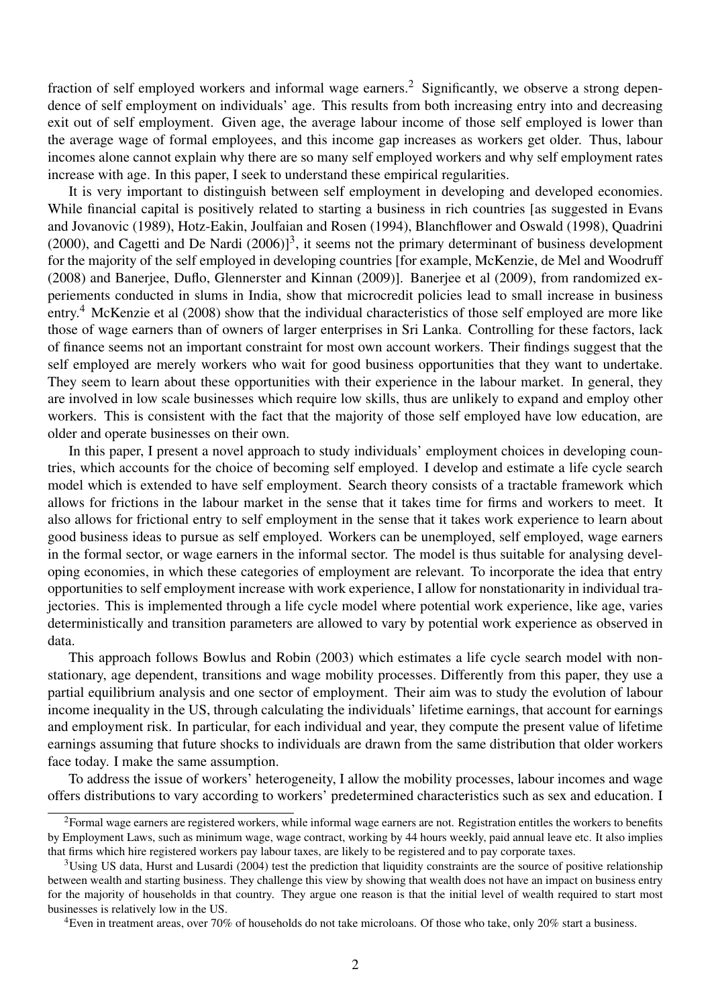fraction of self employed workers and informal wage earners.<sup>2</sup> Significantly, we observe a strong dependence of self employment on individuals' age. This results from both increasing entry into and decreasing exit out of self employment. Given age, the average labour income of those self employed is lower than the average wage of formal employees, and this income gap increases as workers get older. Thus, labour incomes alone cannot explain why there are so many self employed workers and why self employment rates increase with age. In this paper, I seek to understand these empirical regularities.

It is very important to distinguish between self employment in developing and developed economies. While financial capital is positively related to starting a business in rich countries [as suggested in Evans and Jovanovic (1989), Hotz-Eakin, Joulfaian and Rosen (1994), Blanchflower and Oswald (1998), Quadrini  $(2000)$ , and Cagetti and De Nardi  $(2006)$ <sup>3</sup>, it seems not the primary determinant of business development for the majority of the self employed in developing countries [for example, McKenzie, de Mel and Woodruff (2008) and Banerjee, Duflo, Glennerster and Kinnan (2009)]. Banerjee et al (2009), from randomized experiements conducted in slums in India, show that microcredit policies lead to small increase in business entry.<sup>4</sup> McKenzie et al (2008) show that the individual characteristics of those self employed are more like those of wage earners than of owners of larger enterprises in Sri Lanka. Controlling for these factors, lack of finance seems not an important constraint for most own account workers. Their findings suggest that the self employed are merely workers who wait for good business opportunities that they want to undertake. They seem to learn about these opportunities with their experience in the labour market. In general, they are involved in low scale businesses which require low skills, thus are unlikely to expand and employ other workers. This is consistent with the fact that the majority of those self employed have low education, are older and operate businesses on their own.

In this paper, I present a novel approach to study individuals' employment choices in developing countries, which accounts for the choice of becoming self employed. I develop and estimate a life cycle search model which is extended to have self employment. Search theory consists of a tractable framework which allows for frictions in the labour market in the sense that it takes time for firms and workers to meet. It also allows for frictional entry to self employment in the sense that it takes work experience to learn about good business ideas to pursue as self employed. Workers can be unemployed, self employed, wage earners in the formal sector, or wage earners in the informal sector. The model is thus suitable for analysing developing economies, in which these categories of employment are relevant. To incorporate the idea that entry opportunities to self employment increase with work experience, I allow for nonstationarity in individual trajectories. This is implemented through a life cycle model where potential work experience, like age, varies deterministically and transition parameters are allowed to vary by potential work experience as observed in data.

This approach follows Bowlus and Robin (2003) which estimates a life cycle search model with nonstationary, age dependent, transitions and wage mobility processes. Differently from this paper, they use a partial equilibrium analysis and one sector of employment. Their aim was to study the evolution of labour income inequality in the US, through calculating the individuals' lifetime earnings, that account for earnings and employment risk. In particular, for each individual and year, they compute the present value of lifetime earnings assuming that future shocks to individuals are drawn from the same distribution that older workers face today. I make the same assumption.

To address the issue of workers' heterogeneity, I allow the mobility processes, labour incomes and wage offers distributions to vary according to workers' predetermined characteristics such as sex and education. I

<sup>&</sup>lt;sup>2</sup>Formal wage earners are registered workers, while informal wage earners are not. Registration entitles the workers to benefits by Employment Laws, such as minimum wage, wage contract, working by 44 hours weekly, paid annual leave etc. It also implies that firms which hire registered workers pay labour taxes, are likely to be registered and to pay corporate taxes.

 $3$ Using US data, Hurst and Lusardi (2004) test the prediction that liquidity constraints are the source of positive relationship between wealth and starting business. They challenge this view by showing that wealth does not have an impact on business entry for the majority of households in that country. They argue one reason is that the initial level of wealth required to start most businesses is relatively low in the US.

<sup>4</sup>Even in treatment areas, over 70% of households do not take microloans. Of those who take, only 20% start a business.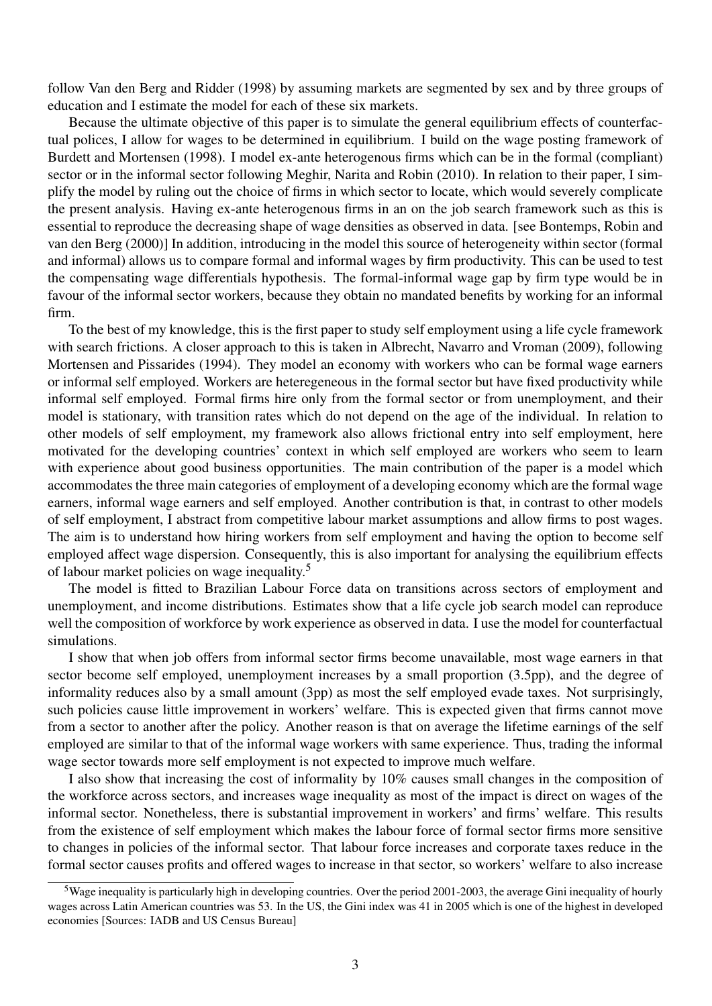follow Van den Berg and Ridder (1998) by assuming markets are segmented by sex and by three groups of education and I estimate the model for each of these six markets.

Because the ultimate objective of this paper is to simulate the general equilibrium effects of counterfactual polices, I allow for wages to be determined in equilibrium. I build on the wage posting framework of Burdett and Mortensen (1998). I model ex-ante heterogenous firms which can be in the formal (compliant) sector or in the informal sector following Meghir, Narita and Robin (2010). In relation to their paper, I simplify the model by ruling out the choice of firms in which sector to locate, which would severely complicate the present analysis. Having ex-ante heterogenous firms in an on the job search framework such as this is essential to reproduce the decreasing shape of wage densities as observed in data. [see Bontemps, Robin and van den Berg (2000)] In addition, introducing in the model this source of heterogeneity within sector (formal and informal) allows us to compare formal and informal wages by firm productivity. This can be used to test the compensating wage differentials hypothesis. The formal-informal wage gap by firm type would be in favour of the informal sector workers, because they obtain no mandated benefits by working for an informal firm.

To the best of my knowledge, this is the first paper to study self employment using a life cycle framework with search frictions. A closer approach to this is taken in Albrecht, Navarro and Vroman (2009), following Mortensen and Pissarides (1994). They model an economy with workers who can be formal wage earners or informal self employed. Workers are heteregeneous in the formal sector but have fixed productivity while informal self employed. Formal firms hire only from the formal sector or from unemployment, and their model is stationary, with transition rates which do not depend on the age of the individual. In relation to other models of self employment, my framework also allows frictional entry into self employment, here motivated for the developing countries' context in which self employed are workers who seem to learn with experience about good business opportunities. The main contribution of the paper is a model which accommodates the three main categories of employment of a developing economy which are the formal wage earners, informal wage earners and self employed. Another contribution is that, in contrast to other models of self employment, I abstract from competitive labour market assumptions and allow firms to post wages. The aim is to understand how hiring workers from self employment and having the option to become self employed affect wage dispersion. Consequently, this is also important for analysing the equilibrium effects of labour market policies on wage inequality.<sup>5</sup>

The model is fitted to Brazilian Labour Force data on transitions across sectors of employment and unemployment, and income distributions. Estimates show that a life cycle job search model can reproduce well the composition of workforce by work experience as observed in data. I use the model for counterfactual simulations.

I show that when job offers from informal sector firms become unavailable, most wage earners in that sector become self employed, unemployment increases by a small proportion (3.5pp), and the degree of informality reduces also by a small amount (3pp) as most the self employed evade taxes. Not surprisingly, such policies cause little improvement in workers' welfare. This is expected given that firms cannot move from a sector to another after the policy. Another reason is that on average the lifetime earnings of the self employed are similar to that of the informal wage workers with same experience. Thus, trading the informal wage sector towards more self employment is not expected to improve much welfare.

I also show that increasing the cost of informality by 10% causes small changes in the composition of the workforce across sectors, and increases wage inequality as most of the impact is direct on wages of the informal sector. Nonetheless, there is substantial improvement in workers' and firms' welfare. This results from the existence of self employment which makes the labour force of formal sector firms more sensitive to changes in policies of the informal sector. That labour force increases and corporate taxes reduce in the formal sector causes profits and offered wages to increase in that sector, so workers' welfare to also increase

<sup>&</sup>lt;sup>5</sup>Wage inequality is particularly high in developing countries. Over the period 2001-2003, the average Gini inequality of hourly wages across Latin American countries was 53. In the US, the Gini index was 41 in 2005 which is one of the highest in developed economies [Sources: IADB and US Census Bureau]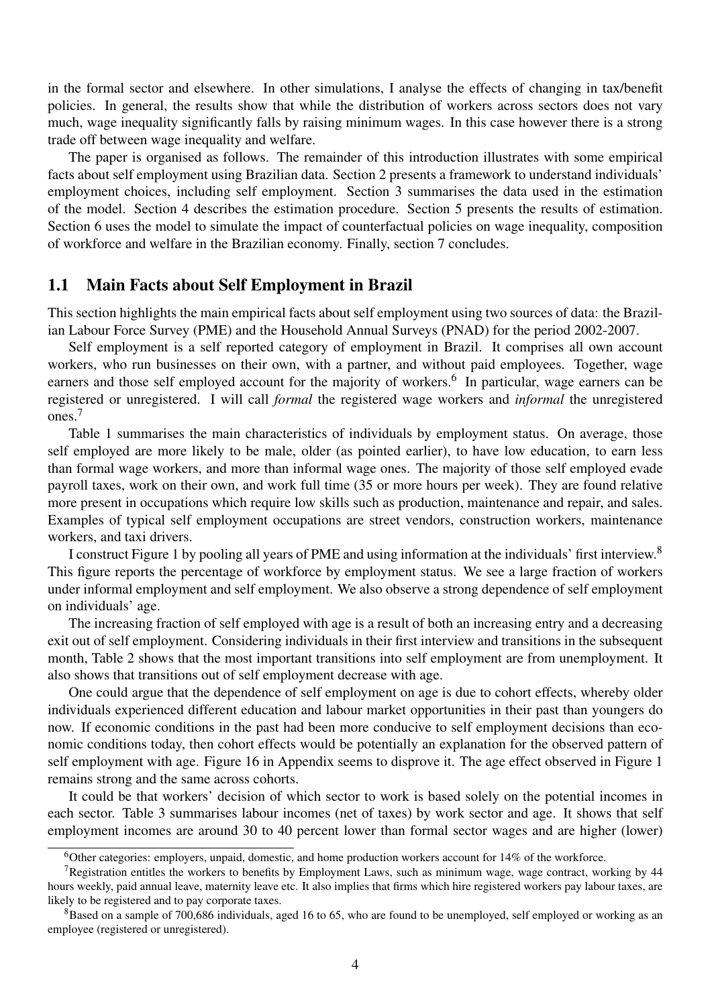in the formal sector and elsewhere. In other simulations, I analyse the effects of changing in tax/benefit policies. In general, the results show that while the distribution of workers across sectors does not vary much, wage inequality significantly falls by raising minimum wages. In this case however there is a strong trade off between wage inequality and welfare.

The paper is organised as follows. The remainder of this introduction illustrates with some empirical facts about self employment using Brazilian data. Section 2 presents a framework to understand individuals' employment choices, including self employment. Section 3 summarises the data used in the estimation of the model. Section 4 describes the estimation procedure. Section 5 presents the results of estimation. Section 6 uses the model to simulate the impact of counterfactual policies on wage inequality, composition of workforce and welfare in the Brazilian economy. Finally, section 7 concludes.

#### 1.1 Main Facts about Self Employment in Brazil

This section highlights the main empirical facts about self employment using two sources of data: the Brazilian Labour Force Survey (PME) and the Household Annual Surveys (PNAD) for the period 2002-2007.

Self employment is a self reported category of employment in Brazil. It comprises all own account workers, who run businesses on their own, with a partner, and without paid employees. Together, wage earners and those self employed account for the majority of workers.<sup>6</sup> In particular, wage earners can be registered or unregistered. I will call *formal* the registered wage workers and *informal* the unregistered ones.<sup>7</sup>

Table 1 summarises the main characteristics of individuals by employment status. On average, those self employed are more likely to be male, older (as pointed earlier), to have low education, to earn less than formal wage workers, and more than informal wage ones. The majority of those self employed evade payroll taxes, work on their own, and work full time (35 or more hours per week). They are found relative more present in occupations which require low skills such as production, maintenance and repair, and sales. Examples of typical self employment occupations are street vendors, construction workers, maintenance workers, and taxi drivers.

I construct Figure 1 by pooling all years of PME and using information at the individuals' first interview.<sup>8</sup> This figure reports the percentage of workforce by employment status. We see a large fraction of workers under informal employment and self employment. We also observe a strong dependence of self employment on individuals' age.

The increasing fraction of self employed with age is a result of both an increasing entry and a decreasing exit out of self employment. Considering individuals in their first interview and transitions in the subsequent month, Table 2 shows that the most important transitions into self employment are from unemployment. It also shows that transitions out of self employment decrease with age.

One could argue that the dependence of self employment on age is due to cohort effects, whereby older individuals experienced different education and labour market opportunities in their past than youngers do now. If economic conditions in the past had been more conducive to self employment decisions than economic conditions today, then cohort effects would be potentially an explanation for the observed pattern of self employment with age. Figure 16 in Appendix seems to disprove it. The age effect observed in Figure 1 remains strong and the same across cohorts.

It could be that workers' decision of which sector to work is based solely on the potential incomes in each sector. Table 3 summarises labour incomes (net of taxes) by work sector and age. It shows that self employment incomes are around 30 to 40 percent lower than formal sector wages and are higher (lower)

<sup>&</sup>lt;sup>6</sup>Other categories: employers, unpaid, domestic, and home production workers account for 14% of the workforce.

<sup>&</sup>lt;sup>7</sup>Registration entitles the workers to benefits by Employment Laws, such as minimum wage, wage contract, working by  $44$ hours weekly, paid annual leave, maternity leave etc. It also implies that firms which hire registered workers pay labour taxes, are likely to be registered and to pay corporate taxes.

 ${}^{8}$ Based on a sample of 700,686 individuals, aged 16 to 65, who are found to be unemployed, self employed or working as an employee (registered or unregistered).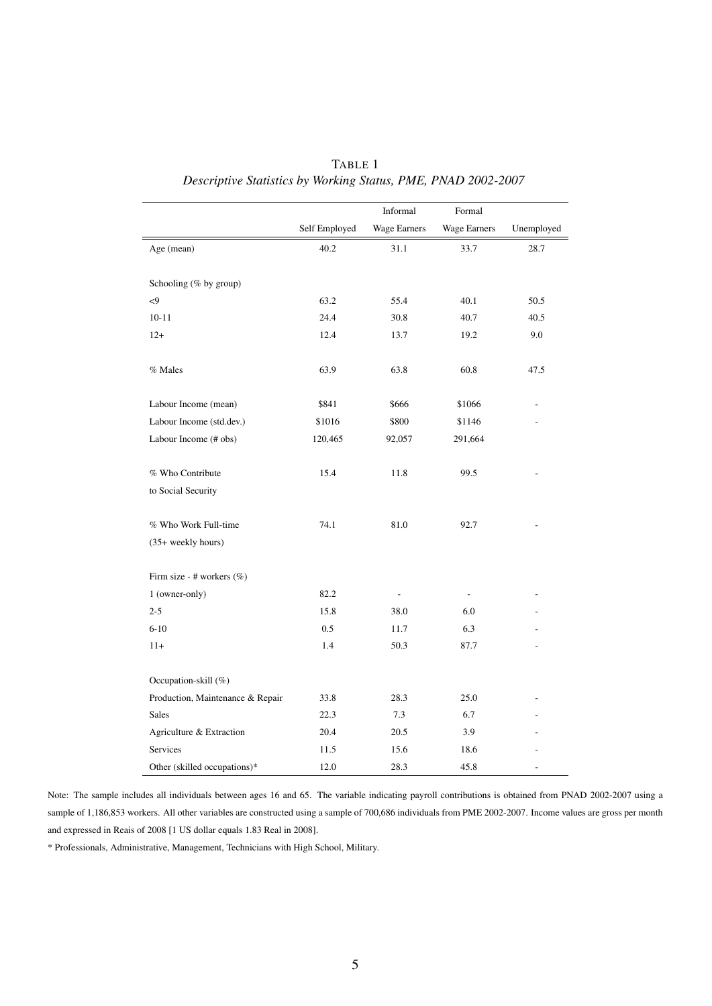|                                  |               | Informal            | Formal              |            |
|----------------------------------|---------------|---------------------|---------------------|------------|
|                                  | Self Employed | <b>Wage Earners</b> | <b>Wage Earners</b> | Unemployed |
| Age (mean)                       | 40.2          | 31.1                | 33.7                | 28.7       |
|                                  |               |                     |                     |            |
| Schooling (% by group)           |               |                     |                     |            |
| $\leq$                           | 63.2          | 55.4                | 40.1                | 50.5       |
| $10 - 11$                        | 24.4          | 30.8                | 40.7                | 40.5       |
| $12+$                            | 12.4          | 13.7                | 19.2                | 9.0        |
| % Males                          | 63.9          | 63.8                | 60.8                | 47.5       |
| Labour Income (mean)             | \$841         | \$666               | \$1066              |            |
| Labour Income (std.dev.)         | \$1016        | \$800               | \$1146              |            |
| Labour Income (# obs)            | 120,465       | 92,057              | 291,664             |            |
| % Who Contribute                 | 15.4          | 11.8                | 99.5                |            |
| to Social Security               |               |                     |                     |            |
| % Who Work Full-time             | 74.1          | 81.0                | 92.7                |            |
| (35+ weekly hours)               |               |                     |                     |            |
| Firm size - # workers (%)        |               |                     |                     |            |
| 1 (owner-only)                   | 82.2          | $\overline{a}$      | L.                  |            |
| $2 - 5$                          | 15.8          | 38.0                | 6.0                 |            |
| $6 - 10$                         | 0.5           | 11.7                | 6.3                 |            |
| $11+$                            | 1.4           | 50.3                | 87.7                |            |
| Occupation-skill (%)             |               |                     |                     |            |
| Production, Maintenance & Repair | 33.8          | 28.3                | 25.0                |            |
| <b>Sales</b>                     | 22.3          | 7.3                 | 6.7                 |            |
| Agriculture & Extraction         | 20.4          | 20.5                | 3.9                 |            |
| Services                         | 11.5          | 15.6                | 18.6                |            |
| Other (skilled occupations)*     | 12.0          | 28.3                | 45.8                |            |

TABLE 1 *Descriptive Statistics by Working Status, PME, PNAD 2002-2007*

Note: The sample includes all individuals between ages 16 and 65. The variable indicating payroll contributions is obtained from PNAD 2002-2007 using a sample of 1,186,853 workers. All other variables are constructed using a sample of 700,686 individuals from PME 2002-2007. Income values are gross per month and expressed in Reais of 2008 [1 US dollar equals 1.83 Real in 2008].

\* Professionals, Administrative, Management, Technicians with High School, Military.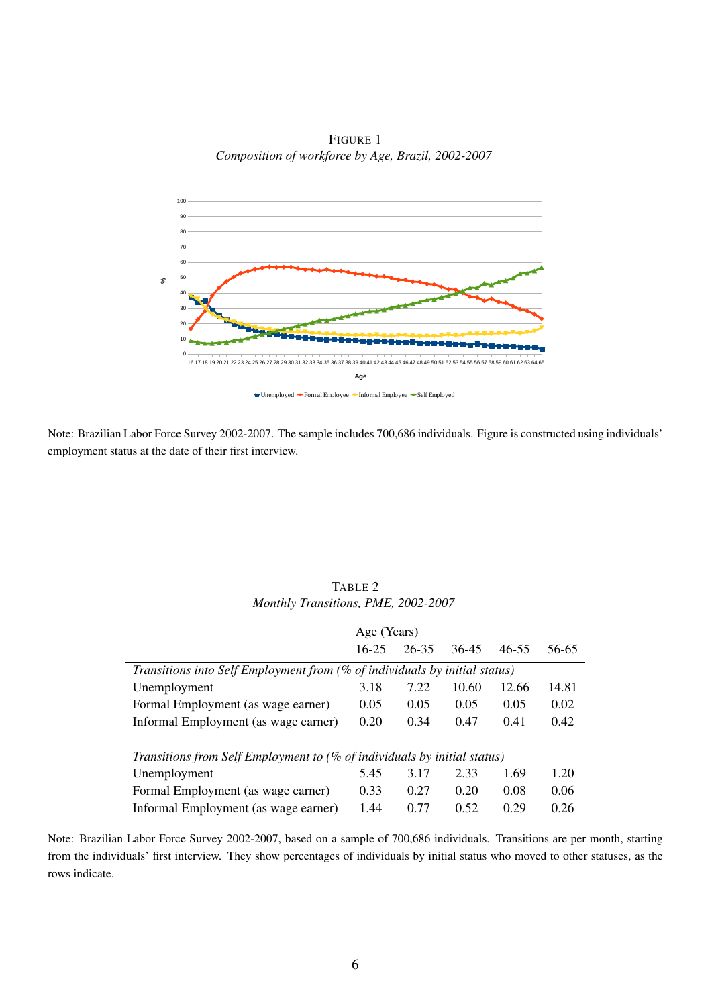FIGURE 1 *Composition of workforce by Age, Brazil, 2002-2007*



Note: Brazilian Labor Force Survey 2002-2007. The sample includes 700,686 individuals. Figure is constructed using individuals' employment status at the date of their first interview.

|                                                                            | Age (Years) |           |       |       |       |
|----------------------------------------------------------------------------|-------------|-----------|-------|-------|-------|
|                                                                            | $16 - 25$   | $26 - 35$ | 36-45 | 46-55 | 56-65 |
| Transitions into Self Employment from (% of individuals by initial status) |             |           |       |       |       |
| Unemployment                                                               | 3.18        | 7.22      | 10.60 | 12.66 | 14.81 |
| Formal Employment (as wage earner)                                         | 0.05        | 0.05      | 0.05  | 0.05  | 0.02  |
| Informal Employment (as wage earner)                                       | 0.20        | 0.34      | 0.47  | 0.41  | 0.42  |
| Transitions from Self Employment to (% of individuals by initial status)   |             |           |       |       |       |
| Unemployment                                                               | 5.45        | 3.17      | 2.33  | 1.69  | 1.20  |
| Formal Employment (as wage earner)                                         | 0.33        | 0.27      | 0.20  | 0.08  | 0.06  |
| Informal Employment (as wage earner)                                       | 1.44        | 0.77      | 0.52  | 0.29  | 0.26  |

TABLE 2 *Monthly Transitions, PME, 2002-2007*

Note: Brazilian Labor Force Survey 2002-2007, based on a sample of 700,686 individuals. Transitions are per month, starting from the individuals' first interview. They show percentages of individuals by initial status who moved to other statuses, as the rows indicate.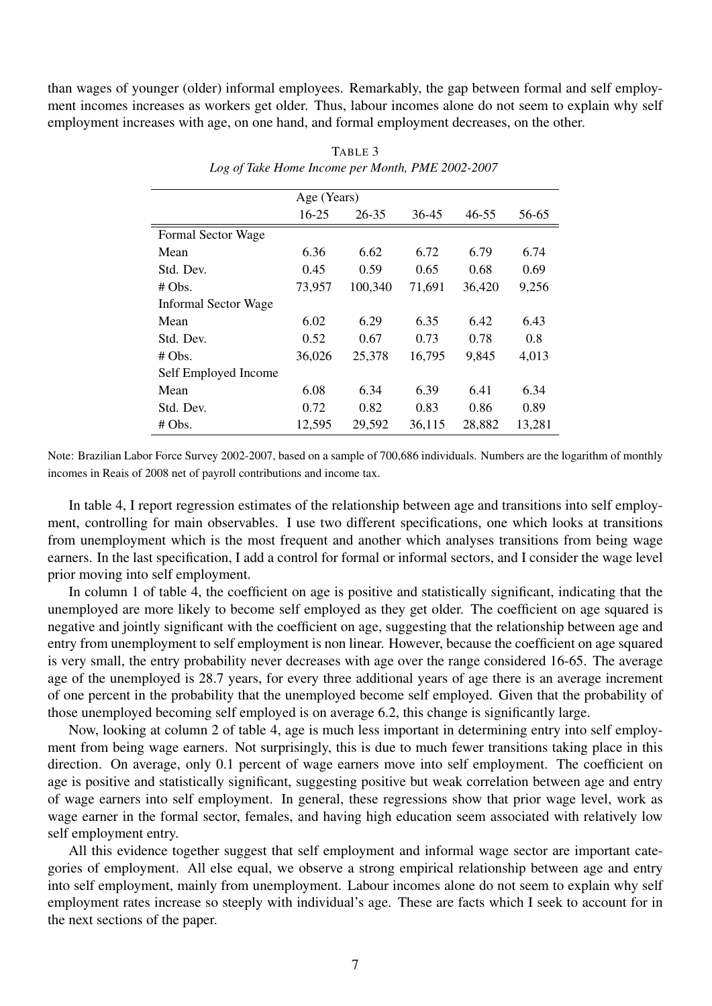than wages of younger (older) informal employees. Remarkably, the gap between formal and self employment incomes increases as workers get older. Thus, labour incomes alone do not seem to explain why self employment increases with age, on one hand, and formal employment decreases, on the other.

|                             | Age (Years) |           |        |           |        |
|-----------------------------|-------------|-----------|--------|-----------|--------|
|                             | $16 - 25$   | $26 - 35$ | 36-45  | $46 - 55$ | 56-65  |
| Formal Sector Wage          |             |           |        |           |        |
| Mean                        | 6.36        | 6.62      | 6.72   | 6.79      | 6.74   |
| Std. Dev.                   | 0.45        | 0.59      | 0.65   | 0.68      | 0.69   |
| $# \, Obs.$                 | 73,957      | 100,340   | 71,691 | 36,420    | 9,256  |
| <b>Informal Sector Wage</b> |             |           |        |           |        |
| Mean                        | 6.02        | 6.29      | 6.35   | 6.42      | 6.43   |
| Std. Dev.                   | 0.52        | 0.67      | 0.73   | 0.78      | 0.8    |
| $# \, Obs.$                 | 36,026      | 25,378    | 16,795 | 9,845     | 4,013  |
| Self Employed Income        |             |           |        |           |        |
| Mean                        | 6.08        | 6.34      | 6.39   | 6.41      | 6.34   |
| Std. Dev.                   | 0.72        | 0.82      | 0.83   | 0.86      | 0.89   |
| # Obs.                      | 12,595      | 29,592    | 36,115 | 28,882    | 13,281 |

TABLE 3 *Log of Take Home Income per Month, PME 2002-2007*

Note: Brazilian Labor Force Survey 2002-2007, based on a sample of 700,686 individuals. Numbers are the logarithm of monthly incomes in Reais of 2008 net of payroll contributions and income tax.

In table 4, I report regression estimates of the relationship between age and transitions into self employment, controlling for main observables. I use two different specifications, one which looks at transitions from unemployment which is the most frequent and another which analyses transitions from being wage earners. In the last specification, I add a control for formal or informal sectors, and I consider the wage level prior moving into self employment.

In column 1 of table 4, the coefficient on age is positive and statistically significant, indicating that the unemployed are more likely to become self employed as they get older. The coefficient on age squared is negative and jointly significant with the coefficient on age, suggesting that the relationship between age and entry from unemployment to self employment is non linear. However, because the coefficient on age squared is very small, the entry probability never decreases with age over the range considered 16-65. The average age of the unemployed is 28.7 years, for every three additional years of age there is an average increment of one percent in the probability that the unemployed become self employed. Given that the probability of those unemployed becoming self employed is on average 6.2, this change is significantly large.

Now, looking at column 2 of table 4, age is much less important in determining entry into self employment from being wage earners. Not surprisingly, this is due to much fewer transitions taking place in this direction. On average, only 0.1 percent of wage earners move into self employment. The coefficient on age is positive and statistically significant, suggesting positive but weak correlation between age and entry of wage earners into self employment. In general, these regressions show that prior wage level, work as wage earner in the formal sector, females, and having high education seem associated with relatively low self employment entry.

All this evidence together suggest that self employment and informal wage sector are important categories of employment. All else equal, we observe a strong empirical relationship between age and entry into self employment, mainly from unemployment. Labour incomes alone do not seem to explain why self employment rates increase so steeply with individual's age. These are facts which I seek to account for in the next sections of the paper.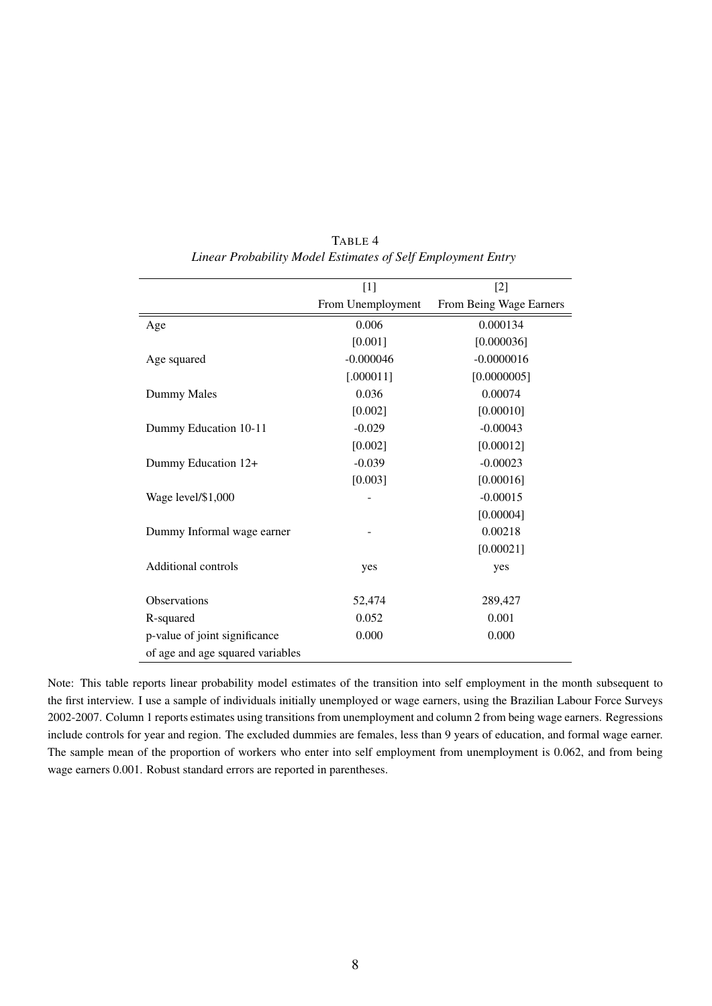|                                  | $[1]$             | $[2]$                   |
|----------------------------------|-------------------|-------------------------|
|                                  | From Unemployment | From Being Wage Earners |
| Age                              | 0.006             | 0.000134                |
|                                  | [0.001]           | [0.000036]              |
| Age squared                      | $-0.000046$       | $-0.0000016$            |
|                                  | [.000011]         | [0.0000005]             |
| Dummy Males                      | 0.036             | 0.00074                 |
|                                  | [0.002]           | [0.00010]               |
| Dummy Education 10-11            | $-0.029$          | $-0.00043$              |
|                                  | [0.002]           | [0.00012]               |
| Dummy Education 12+              | $-0.039$          | $-0.00023$              |
|                                  | [0.003]           | [0.00016]               |
| Wage level/\$1,000               |                   | $-0.00015$              |
|                                  |                   | [0.00004]               |
| Dummy Informal wage earner       |                   | 0.00218                 |
|                                  |                   | [0.00021]               |
| Additional controls              | yes               | yes                     |
|                                  |                   |                         |
| <b>Observations</b>              | 52,474            | 289,427                 |
| R-squared                        | 0.052             | 0.001                   |
| p-value of joint significance    | 0.000             | 0.000                   |
| of age and age squared variables |                   |                         |

TABLE 4 *Linear Probability Model Estimates of Self Employment Entry*

Note: This table reports linear probability model estimates of the transition into self employment in the month subsequent to the first interview. I use a sample of individuals initially unemployed or wage earners, using the Brazilian Labour Force Surveys 2002-2007. Column 1 reports estimates using transitions from unemployment and column 2 from being wage earners. Regressions include controls for year and region. The excluded dummies are females, less than 9 years of education, and formal wage earner. The sample mean of the proportion of workers who enter into self employment from unemployment is 0.062, and from being wage earners 0.001. Robust standard errors are reported in parentheses.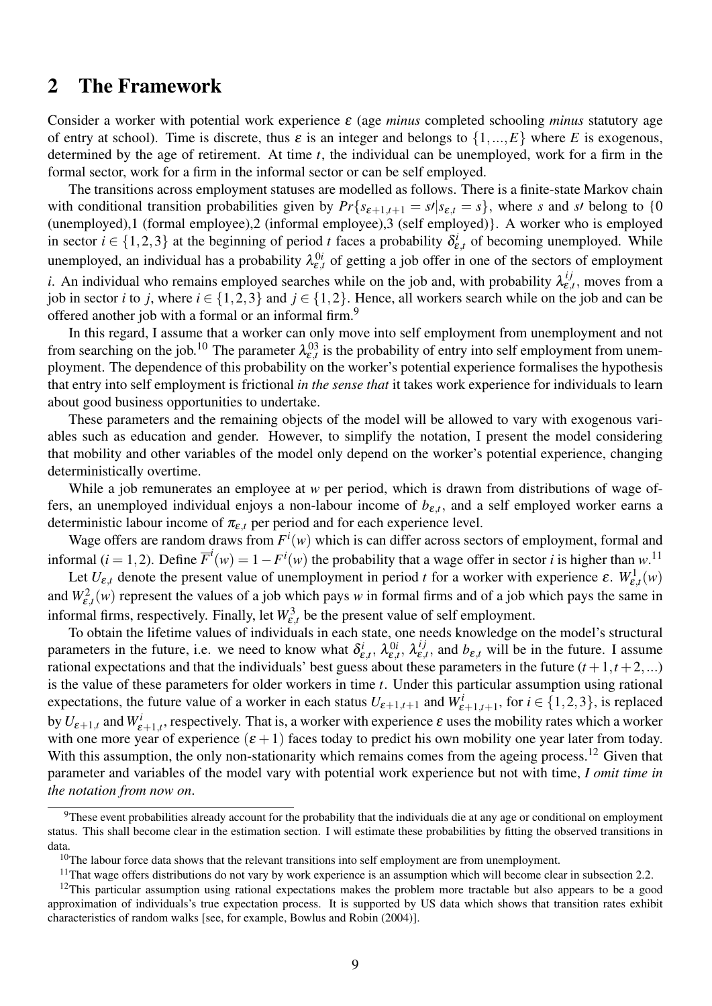#### 2 The Framework

Consider a worker with potential work experience ε (age *minus* completed schooling *minus* statutory age of entry at school). Time is discrete, thus  $\varepsilon$  is an integer and belongs to  $\{1,...,E\}$  where *E* is exogenous, determined by the age of retirement. At time *t*, the individual can be unemployed, work for a firm in the formal sector, work for a firm in the informal sector or can be self employed.

The transitions across employment statuses are modelled as follows. There is a finite-state Markov chain with conditional transition probabilities given by  $Pr{s_{\epsilon+1,t+1} = s / |s_{\epsilon,t} = s}$ , where *s* and *s*<sup>*t*</sup> belong to {0} (unemployed),1 (formal employee),2 (informal employee),3 (self employed)}. A worker who is employed in sector  $i \in \{1,2,3\}$  at the beginning of period *t* faces a probability  $\delta_{\varepsilon,t}^i$  of becoming unemployed. While unemployed, an individual has a probability  $\lambda_{\varepsilon,t}^{0i}$  of getting a job offer in one of the sectors of employment *i*. An individual who remains employed searches while on the job and, with probability  $\lambda_{\varepsilon}^{ij}$  $t_{\varepsilon,t}$ , moves from a job in sector *i* to *j*, where  $i \in \{1,2,3\}$  and  $j \in \{1,2\}$ . Hence, all workers search while on the job and can be offered another job with a formal or an informal firm.<sup>9</sup>

In this regard, I assume that a worker can only move into self employment from unemployment and not from searching on the job.<sup>10</sup> The parameter  $\lambda_{\varepsilon,t}^{03}$  is the probability of entry into self employment from unemployment. The dependence of this probability on the worker's potential experience formalises the hypothesis that entry into self employment is frictional *in the sense that* it takes work experience for individuals to learn about good business opportunities to undertake.

These parameters and the remaining objects of the model will be allowed to vary with exogenous variables such as education and gender. However, to simplify the notation, I present the model considering that mobility and other variables of the model only depend on the worker's potential experience, changing deterministically overtime.

While a job remunerates an employee at *w* per period, which is drawn from distributions of wage offers, an unemployed individual enjoys a non-labour income of  $b_{\varepsilon,t}$ , and a self employed worker earns a deterministic labour income of  $\pi_{\varepsilon,t}$  per period and for each experience level.

Wage offers are random draws from  $F^i(w)$  which is can differ across sectors of employment, formal and informal (*i* = 1, 2). Define  $\overline{F}^i(w) = 1 - F^i(w)$  the probability that a wage offer in sector *i* is higher than *w*.<sup>11</sup>

Let  $U_{\varepsilon,t}$  denote the present value of unemployment in period *t* for a worker with experience  $\varepsilon$ .  $W_{\varepsilon,t}^1(w)$ and  $W_{\varepsilon,t}^2(w)$  represent the values of a job which pays *w* in formal firms and of a job which pays the same in informal firms, respectively. Finally, let  $W_{\varepsilon,t}^3$  be the present value of self employment.

To obtain the lifetime values of individuals in each state, one needs knowledge on the model's structural parameters in the future, i.e. we need to know what  $\delta_{\varepsilon,t}^i$ ,  $\lambda_{\varepsilon,t}^{0i}$ ,  $\lambda_{\varepsilon,t}^{ij}$  $e_{\varepsilon,t}^{ij}$ , and  $b_{\varepsilon,t}$  will be in the future. I assume rational expectations and that the individuals' best guess about these parameters in the future  $(t + 1, t + 2, ...)$ is the value of these parameters for older workers in time *t*. Under this particular assumption using rational expectations, the future value of a worker in each status  $U_{\varepsilon+1,t+1}$  and  $W_{\varepsilon+1,t+1}^i$ , for  $i \in \{1,2,3\}$ , is replaced by  $U_{\varepsilon+1,t}$  and  $W_{\varepsilon+1,t}^i$ , respectively. That is, a worker with experience  $\varepsilon$  uses the mobility rates which a worker with one more year of experience  $(\epsilon + 1)$  faces today to predict his own mobility one year later from today. With this assumption, the only non-stationarity which remains comes from the ageing process.<sup>12</sup> Given that parameter and variables of the model vary with potential work experience but not with time, *I omit time in the notation from now on*.

<sup>&</sup>lt;sup>9</sup>These event probabilities already account for the probability that the individuals die at any age or conditional on employment status. This shall become clear in the estimation section. I will estimate these probabilities by fitting the observed transitions in data.

 $10$ The labour force data shows that the relevant transitions into self employment are from unemployment.

 $11$ That wage offers distributions do not vary by work experience is an assumption which will become clear in subsection 2.2.

 $12$ This particular assumption using rational expectations makes the problem more tractable but also appears to be a good approximation of individuals's true expectation process. It is supported by US data which shows that transition rates exhibit characteristics of random walks [see, for example, Bowlus and Robin (2004)].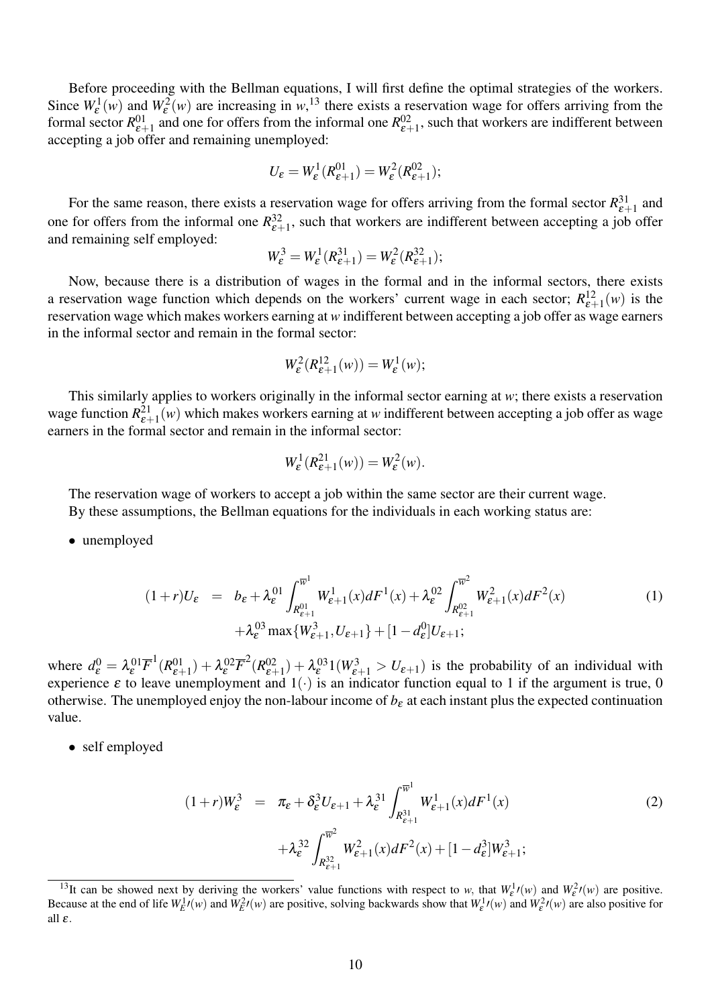Before proceeding with the Bellman equations, I will first define the optimal strategies of the workers. Since  $W_{\varepsilon}^1(w)$  and  $W_{\varepsilon}^2(w)$  are increasing in  $w$ ,<sup>13</sup> there exists a reservation wage for offers arriving from the formal sector  $R^{01}_{\varepsilon+1}$  and one for offers from the informal one  $R^{02}_{\varepsilon+1}$ , such that workers are indifferent between accepting a job offer and remaining unemployed:

$$
U_{\varepsilon} = W_{\varepsilon}^1(R_{\varepsilon+1}^{01}) = W_{\varepsilon}^2(R_{\varepsilon+1}^{02});
$$

For the same reason, there exists a reservation wage for offers arriving from the formal sector  $R_{\varepsilon+1}^{31}$  and one for offers from the informal one  $R^{32}_{\varepsilon+1}$ , such that workers are indifferent between accepting a job offer and remaining self employed:

$$
W_{\varepsilon}^3 = W_{\varepsilon}^1(R_{\varepsilon+1}^{31}) = W_{\varepsilon}^2(R_{\varepsilon+1}^{32});
$$

Now, because there is a distribution of wages in the formal and in the informal sectors, there exists a reservation wage function which depends on the workers' current wage in each sector;  $R_{\varepsilon+1}^{12}(w)$  is the reservation wage which makes workers earning at *w* indifferent between accepting a job offer as wage earners in the informal sector and remain in the formal sector:

$$
W_{\varepsilon}^2(R_{\varepsilon+1}^{12}(w)) = W_{\varepsilon}^1(w);
$$

This similarly applies to workers originally in the informal sector earning at *w*; there exists a reservation wage function  $R_{\varepsilon+1}^{21}(w)$  which makes workers earning at *w* indifferent between accepting a job offer as wage earners in the formal sector and remain in the informal sector:

$$
W_{\varepsilon}^1(R_{\varepsilon+1}^{21}(w)) = W_{\varepsilon}^2(w).
$$

The reservation wage of workers to accept a job within the same sector are their current wage. By these assumptions, the Bellman equations for the individuals in each working status are:

• unemployed

$$
(1+r)U_{\varepsilon} = b_{\varepsilon} + \lambda_{\varepsilon}^{01} \int_{R_{\varepsilon+1}^{01}}^{\overline{w}^1} W_{\varepsilon+1}^1(x) dF^1(x) + \lambda_{\varepsilon}^{02} \int_{R_{\varepsilon+1}^{02}}^{\overline{w}^2} W_{\varepsilon+1}^2(x) dF^2(x) + \lambda_{\varepsilon}^{03} \max\{W_{\varepsilon+1}^3, U_{\varepsilon+1}\} + [1 - d_{\varepsilon}^0] U_{\varepsilon+1};
$$
 (1)

where  $d_{\varepsilon}^{0} = \lambda_{\varepsilon}^{01} \overline{F}^{1} (R_{\varepsilon+1}^{01}) + \lambda_{\varepsilon}^{02} \overline{F}^{2} (R_{\varepsilon+1}^{02}) + \lambda_{\varepsilon}^{03} 1(W_{\varepsilon+1}^{3} > U_{\varepsilon+1})$  is the probability of an individual with experience  $\varepsilon$  to leave unemployment and  $1(\cdot)$  is an indicator function equal to 1 if the argument is true, 0 otherwise. The unemployed enjoy the non-labour income of  $b_{\varepsilon}$  at each instant plus the expected continuation value.

• self employed

$$
(1+r)W_{\varepsilon}^{3} = \pi_{\varepsilon} + \delta_{\varepsilon}^{3} U_{\varepsilon+1} + \lambda_{\varepsilon}^{31} \int_{R_{\varepsilon+1}^{31}}^{\overline{w}^{1}} W_{\varepsilon+1}^{1}(x) dF^{1}(x)
$$
  
 
$$
+ \lambda_{\varepsilon}^{32} \int_{R_{\varepsilon+1}^{32}}^{\overline{w}^{2}} W_{\varepsilon+1}^{2}(x) dF^{2}(x) + [1 - d_{\varepsilon}^{3}] W_{\varepsilon+1}^{3};
$$
 (2)

<sup>&</sup>lt;sup>13</sup>It can be showed next by deriving the workers' value functions with respect to *w*, that  $W_{\varepsilon}^1$  $(v)$  and  $W_{\varepsilon}^2$  $(v)$  are positive. Because at the end of life  $W_E^1(v)$  and  $W_E^2(v)$  are positive, solving backwards show that  $W_E^1(v)$  and  $W_E^2(v)$  are also positive for all  $\varepsilon$ .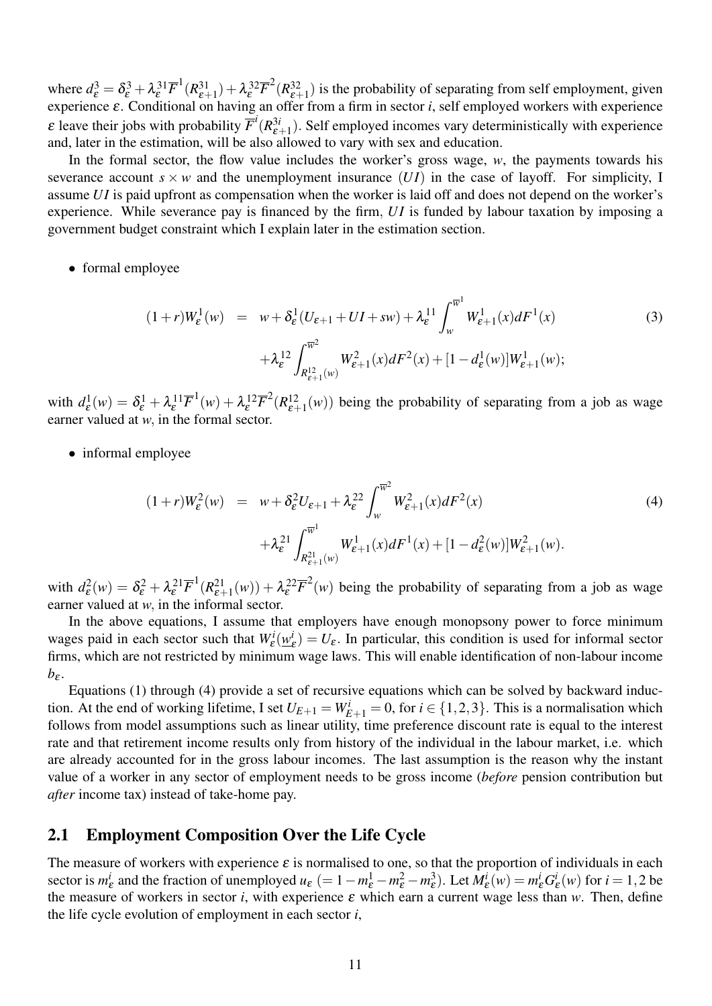where  $d_{\varepsilon}^3 = \delta_{\varepsilon}^3 + \lambda_{\varepsilon}^3{}^1\overline{F}^1(R_{\varepsilon+1}^{31}) + \lambda_{\varepsilon}^3{}^2\overline{F}^2(R_{\varepsilon+1}^{32})$  is the probability of separating from self employment, given experience ε. Conditional on having an offer from a firm in sector *i*, self employed workers with experience  $\varepsilon$  leave their jobs with probability  $\overline{F}^i(R^{3i}_{\varepsilon+1})$ . Self employed incomes vary deterministically with experience and, later in the estimation, will be also allowed to vary with sex and education.

In the formal sector, the flow value includes the worker's gross wage, *w*, the payments towards his severance account  $s \times w$  and the unemployment insurance  $(UI)$  in the case of layoff. For simplicity, I assume *U I* is paid upfront as compensation when the worker is laid off and does not depend on the worker's experience. While severance pay is financed by the firm, *UI* is funded by labour taxation by imposing a government budget constraint which I explain later in the estimation section.

• formal employee

$$
(1+r)W_{\varepsilon}^{1}(w) = w + \delta_{\varepsilon}^{1}(U_{\varepsilon+1} + UI + sw) + \lambda_{\varepsilon}^{11} \int_{w}^{\overline{w}^{1}} W_{\varepsilon+1}^{1}(x) dF^{1}(x)
$$
  
 
$$
+ \lambda_{\varepsilon}^{12} \int_{R_{\varepsilon+1}^{12}(w)}^{\overline{w}^{2}} W_{\varepsilon+1}^{2}(x) dF^{2}(x) + [1 - d_{\varepsilon}^{1}(w)]W_{\varepsilon+1}^{1}(w);
$$
 (3)

with  $d_{\varepsilon}^1(w) = \delta_{\varepsilon}^1 + \lambda_{\varepsilon}^1 \overline{F}^1(w) + \lambda_{\varepsilon}^1 \overline{F}^2(R_{\varepsilon+1}^1(w))$  being the probability of separating from a job as wage earner valued at *w*, in the formal sector.

• informal employee

$$
(1+r)W_{\varepsilon}^{2}(w) = w + \delta_{\varepsilon}^{2}U_{\varepsilon+1} + \lambda_{\varepsilon}^{22} \int_{w}^{\overline{w}^{2}} W_{\varepsilon+1}^{2}(x) dF^{2}(x)
$$
  
+  $\lambda_{\varepsilon}^{21} \int_{R_{\varepsilon+1}^{21}(w)}^{\overline{w}^{1}} W_{\varepsilon+1}^{1}(x) dF^{1}(x) + [1 - d_{\varepsilon}^{2}(w)]W_{\varepsilon+1}^{2}(w).$  (4)

with  $d_{\epsilon}^2(w) = \delta_{\epsilon}^2 + \lambda_{\epsilon}^2 I \overline{F}^1(R_{\epsilon+1}^2(w)) + \lambda_{\epsilon}^2 I \overline{F}^2(w)$  being the probability of separating from a job as wage earner valued at *w*, in the informal sector.

In the above equations, I assume that employers have enough monopsony power to force minimum wages paid in each sector such that  $W_{\varepsilon}^{i}(\omega_{\varepsilon}^{i})$  $\mathcal{L}_{\varepsilon}^{(l)} = U_{\varepsilon}$ . In particular, this condition is used for informal sector firms, which are not restricted by minimum wage laws. This will enable identification of non-labour income  $b_{\varepsilon}$ .

Equations (1) through (4) provide a set of recursive equations which can be solved by backward induction. At the end of working lifetime, I set  $U_{E+1} = W_{E+1}^i = 0$ , for  $i \in \{1, 2, 3\}$ . This is a normalisation which follows from model assumptions such as linear utility, time preference discount rate is equal to the interest rate and that retirement income results only from history of the individual in the labour market, i.e. which are already accounted for in the gross labour incomes. The last assumption is the reason why the instant value of a worker in any sector of employment needs to be gross income (*before* pension contribution but *after* income tax) instead of take-home pay.

#### 2.1 Employment Composition Over the Life Cycle

The measure of workers with experience  $\varepsilon$  is normalised to one, so that the proportion of individuals in each sector is *m i*  $\frac{i}{\varepsilon}$  and the fraction of unemployed  $u_{\varepsilon}$  (= 1 –  $m_{\varepsilon}^1 - m_{\varepsilon}^2 - m_{\varepsilon}^3$ ). Let  $M_{\varepsilon}^i(w) = m_{\varepsilon}^i G_{\varepsilon}^i$  $\mathcal{L}_{\varepsilon}^{i}(w)$  for  $i = 1, 2$  be the measure of workers in sector *i*, with experience  $\varepsilon$  which earn a current wage less than *w*. Then, define the life cycle evolution of employment in each sector *i*,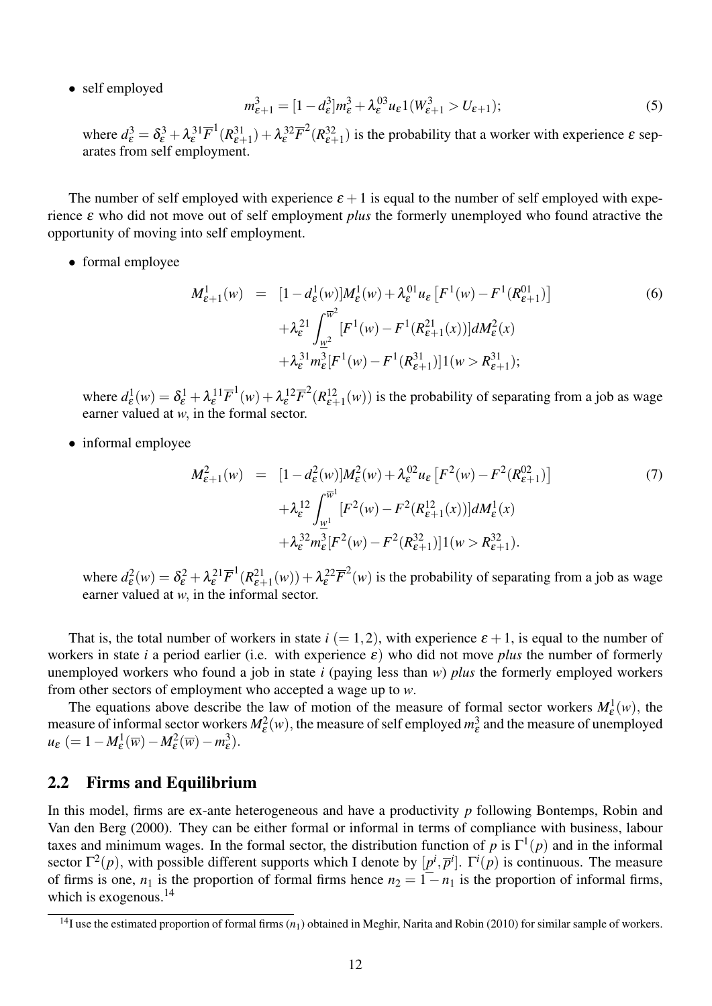• self employed

$$
m_{\varepsilon+1}^3 = [1 - d_{\varepsilon}^3]m_{\varepsilon}^3 + \lambda_{\varepsilon}^{03} u_{\varepsilon} 1(W_{\varepsilon+1}^3 > U_{\varepsilon+1});
$$
\n(5)

where  $d_{\varepsilon}^3 = \delta_{\varepsilon}^3 + \lambda_{\varepsilon}^3 \overline{F}^1(R_{\varepsilon+1}^{31}) + \lambda_{\varepsilon}^3 \overline{F}^2(R_{\varepsilon+1}^{32})$  is the probability that a worker with experience  $\varepsilon$  separates from self employment

The number of self employed with experience  $\varepsilon + 1$  is equal to the number of self employed with experience ε who did not move out of self employment *plus* the formerly unemployed who found atractive the opportunity of moving into self employment.

• formal employee

$$
M_{\varepsilon+1}^1(w) = [1 - d_{\varepsilon}^1(w)]M_{\varepsilon}^1(w) + \lambda_{\varepsilon}^{01} u_{\varepsilon} [F^1(w) - F^1(R_{\varepsilon+1}^{01})] + \lambda_{\varepsilon}^{21} \int_{\frac{w^2}{\varepsilon}}^{\overline{w}^2} [F^1(w) - F^1(R_{\varepsilon+1}^{21}(x))] dM_{\varepsilon}^2(x) + \lambda_{\varepsilon}^{31} m_{\varepsilon}^3 [F^1(w) - F^1(R_{\varepsilon+1}^{31})]1(w > R_{\varepsilon+1}^{31});
$$
 (6)

where  $d_{\varepsilon}^1(w) = \delta_{\varepsilon}^1 + \lambda_{\varepsilon}^{11} \overline{F}^1(w) + \lambda_{\varepsilon}^{12} \overline{F}^2(R_{\varepsilon+1}^{12}(w))$  is the probability of separating from a job as wage earner valued at *w*, in the formal sector.

• informal employee

$$
M_{\varepsilon+1}^2(w) = [1 - d_{\varepsilon}^2(w)]M_{\varepsilon}^2(w) + \lambda_{\varepsilon}^{02} u_{\varepsilon} [F^2(w) - F^2(R_{\varepsilon+1}^{02})] + \lambda_{\varepsilon}^{12} \int_{\frac{w^1}{\varepsilon}}^{\overline{w}^1} [F^2(w) - F^2(R_{\varepsilon+1}^{12}(x))] dM_{\varepsilon}^1(x) + \lambda_{\varepsilon}^{32} m_{\varepsilon}^3 [F^2(w) - F^2(R_{\varepsilon+1}^{32})]1(w > R_{\varepsilon+1}^{32}).
$$
\n(7)

where  $d_{\varepsilon}^2(w) = \delta_{\varepsilon}^2 + \lambda_{\varepsilon}^{21} \overline{F}^1(R_{\varepsilon+1}^{21}(w)) + \lambda_{\varepsilon}^{22} \overline{F}^2(w)$  is the probability of separating from a job as wage earner valued at *w*, in the informal sector.

That is, the total number of workers in state  $i (= 1, 2)$ , with experience  $\varepsilon + 1$ , is equal to the number of workers in state *i* a period earlier (i.e. with experience  $\varepsilon$ ) who did not move *plus* the number of formerly unemployed workers who found a job in state *i* (paying less than *w*) *plus* the formerly employed workers from other sectors of employment who accepted a wage up to *w*.

The equations above describe the law of motion of the measure of formal sector workers  $M_{\varepsilon}^1(w)$ , the measure of informal sector workers  $M_{\epsilon}^2(w)$ , the measure of self employed  $m_{\epsilon}^3$  and the measure of unemployed  $u_{\varepsilon}$  (= 1 –  $M_{\varepsilon}^1(\overline{w}) - M_{\varepsilon}^2(\overline{w}) - m_{\varepsilon}^3$ ).

#### 2.2 Firms and Equilibrium

In this model, firms are ex-ante heterogeneous and have a productivity *p* following Bontemps, Robin and Van den Berg (2000). They can be either formal or informal in terms of compliance with business, labour taxes and minimum wages. In the formal sector, the distribution function of *p* is Γ 1 (*p*) and in the informal sector  $\Gamma^2(p)$ , with possible different supports which I denote by  $[p^i, \overline{p}^i]$ .  $\Gamma^i(p)$  is continuous. The measure of firms is one,  $n_1$  is the proportion of formal firms hence  $n_2 = 1 - n_1$  is the proportion of informal firms, which is exogenous.<sup>14</sup>

<sup>&</sup>lt;sup>14</sup>I use the estimated proportion of formal firms  $(n_1)$  obtained in Meghir, Narita and Robin (2010) for similar sample of workers.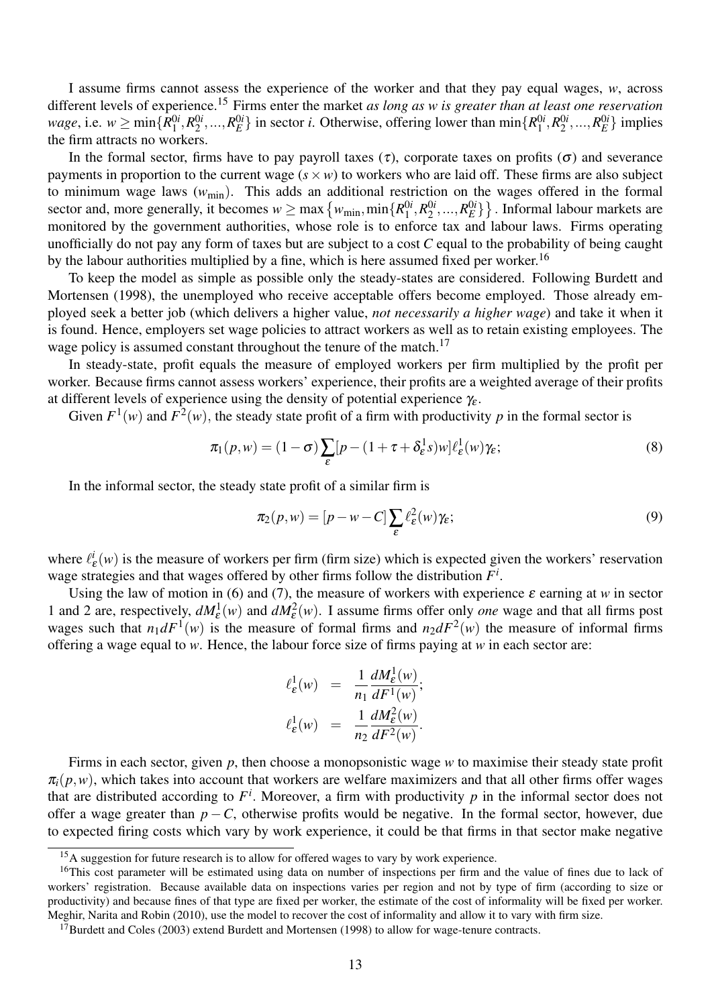I assume firms cannot assess the experience of the worker and that they pay equal wages, *w*, across different levels of experience.<sup>15</sup> Firms enter the market *as long as w is greater than at least one reservation wage*, i.e.  $w \ge \min\{R_1^{0i}\}$  $^{0i}_{1}, R^{0i}_{2}$  $\{R^{0i}_1, \ldots, R^{0i}_E\}$  in sector *i*. Otherwise, offering lower than  $\min\{R^{0i}_1\}$  $^{0i}_{1}, R^{0i}_{2}$  $R_E^{0i},...,R_E^{0i}$ } implies the firm attracts no workers.

In the formal sector, firms have to pay payroll taxes ( $\tau$ ), corporate taxes on profits ( $\sigma$ ) and severance payments in proportion to the current wage  $(s \times w)$  to workers who are laid off. These firms are also subject to minimum wage laws (*w*min). This adds an additional restriction on the wages offered in the formal sector and, more generally, it becomes  $w \ge \max\left\{w_{\min},\min\{R_1^{0i}\}\right\}$  $^{0i}_{1}, R^{0i}_{2}$  $\{2^i, ..., R_E^{0i}\}\}$  . Informal labour markets are monitored by the government authorities, whose role is to enforce tax and labour laws. Firms operating unofficially do not pay any form of taxes but are subject to a cost *C* equal to the probability of being caught by the labour authorities multiplied by a fine, which is here assumed fixed per worker.<sup>16</sup>

To keep the model as simple as possible only the steady-states are considered. Following Burdett and Mortensen (1998), the unemployed who receive acceptable offers become employed. Those already employed seek a better job (which delivers a higher value, *not necessarily a higher wage*) and take it when it is found. Hence, employers set wage policies to attract workers as well as to retain existing employees. The wage policy is assumed constant throughout the tenure of the match.<sup>17</sup>

In steady-state, profit equals the measure of employed workers per firm multiplied by the profit per worker. Because firms cannot assess workers' experience, their profits are a weighted average of their profits at different levels of experience using the density of potential experience  $\gamma_{\varepsilon}$ .

Given  $F^1(w)$  and  $F^2(w)$ , the steady state profit of a firm with productivity p in the formal sector is

$$
\pi_1(p, w) = (1 - \sigma) \sum_{\varepsilon} [p - (1 + \tau + \delta_{\varepsilon}^1 s) w] \ell_{\varepsilon}^1(w) \gamma_{\varepsilon};
$$
\n(8)

In the informal sector, the steady state profit of a similar firm is

$$
\pi_2(p, w) = [p - w - C] \sum_{\varepsilon} \ell_{\varepsilon}^2(w) \gamma_{\varepsilon};
$$
\n(9)

where  $\ell^i_i$  $\mathcal{L}_{\varepsilon}(w)$  is the measure of workers per firm (firm size) which is expected given the workers' reservation wage strategies and that wages offered by other firms follow the distribution *F i* .

Using the law of motion in (6) and (7), the measure of workers with experience  $\varepsilon$  earning at *w* in sector 1 and 2 are, respectively,  $dM_{\varepsilon}^1(w)$  and  $dM_{\varepsilon}^2(w)$ . I assume firms offer only *one* wage and that all firms post wages such that  $n_1 dF^1(w)$  is the measure of formal firms and  $n_2 dF^2(w)$  the measure of informal firms offering a wage equal to *w*. Hence, the labour force size of firms paying at *w* in each sector are:

$$
\begin{array}{rcl} \ell_{\varepsilon}^{1}(w) & = & \frac{1}{n_{1}} \frac{dM_{\varepsilon}^{1}(w)}{dF^{1}(w)}; \\ \ell_{\varepsilon}^{1}(w) & = & \frac{1}{n_{2}} \frac{dM_{\varepsilon}^{2}(w)}{dF^{2}(w)}. \end{array}
$$

Firms in each sector, given *p*, then choose a monopsonistic wage *w* to maximise their steady state profit  $\pi_i(p,w)$ , which takes into account that workers are welfare maximizers and that all other firms offer wages that are distributed according to  $F^i$ . Moreover, a firm with productivity  $p$  in the informal sector does not offer a wage greater than  $p - C$ , otherwise profits would be negative. In the formal sector, however, due to expected firing costs which vary by work experience, it could be that firms in that sector make negative

<sup>&</sup>lt;sup>15</sup>A suggestion for future research is to allow for offered wages to vary by work experience.

 $16$ This cost parameter will be estimated using data on number of inspections per firm and the value of fines due to lack of workers' registration. Because available data on inspections varies per region and not by type of firm (according to size or productivity) and because fines of that type are fixed per worker, the estimate of the cost of informality will be fixed per worker. Meghir, Narita and Robin (2010), use the model to recover the cost of informality and allow it to vary with firm size.

<sup>&</sup>lt;sup>17</sup>Burdett and Coles (2003) extend Burdett and Mortensen (1998) to allow for wage-tenure contracts.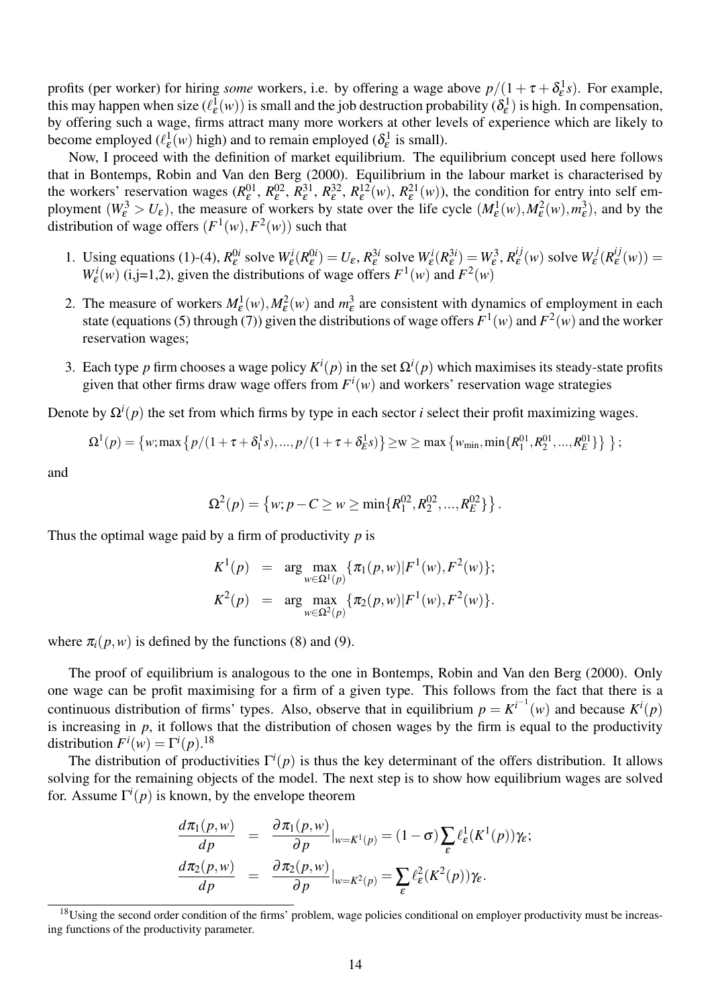profits (per worker) for hiring *some* workers, i.e. by offering a wage above  $p/(1+\tau+\delta_{\epsilon}^1 s)$ . For example, this may happen when size  $(\ell_{\varepsilon}^1(w))$  is small and the job destruction probability  $(\delta_{\varepsilon}^1)$  is high. In compensation, by offering such a wage, firms attract many more workers at other levels of experience which are likely to become employed ( $\ell_{\varepsilon}^{1}(w)$  high) and to remain employed ( $\delta_{\varepsilon}^{1}$  is small).

Now, I proceed with the definition of market equilibrium. The equilibrium concept used here follows that in Bontemps, Robin and Van den Berg (2000). Equilibrium in the labour market is characterised by the workers' reservation wages  $(R_{\varepsilon}^{01}, R_{\varepsilon}^{02}, R_{\varepsilon}^{31}, R_{\varepsilon}^{32}, R_{\varepsilon}^{12}(w), R_{\varepsilon}^{21}(w)$ , the condition for entry into self employment  $(W_{\varepsilon}^3 > U_{\varepsilon})$ , the measure of workers by state over the life cycle  $(M_{\varepsilon}^1(w), M_{\varepsilon}^2(w), m_{\varepsilon}^3)$ , and by the distribution of wage offers  $(F^1(w), F^2(w))$  such that

- 1. Using equations (1)-(4),  $R_{\varepsilon}^{0i}$  solve  $W_{\varepsilon}^{i}(R_{\varepsilon}^{0i}) = U_{\varepsilon}$ ,  $R_{\varepsilon}^{3i}$  solve  $W_{\varepsilon}^{i}(R_{\varepsilon}^{3i}) = W_{\varepsilon}^{3}$ ,  $R_{\varepsilon}^{ij}$  $\frac{ij}{\varepsilon}(w)$  solve  $W^j_{\varepsilon}$  $\epsilon^{ij} (R^{ij}_{\varepsilon})$  $\mathcal{L}^{ij}_{\mathcal{E}}(w)) =$  $W_{\varepsilon}^{i}(w)$  (i,j=1,2), given the distributions of wage offers  $F^{1}(w)$  and  $F^{2}(w)$
- 2. The measure of workers  $M_{\varepsilon}^1(w), M_{\varepsilon}^2(w)$  and  $m_{\varepsilon}^3$  are consistent with dynamics of employment in each state (equations (5) through (7)) given the distributions of wage offers  $F^1(w)$  and  $F^2(w)$  and the worker reservation wages;
- 3. Each type *p* firm chooses a wage policy  $K^i(p)$  in the set  $\Omega^i(p)$  which maximises its steady-state profits given that other firms draw wage offers from  $F^i(w)$  and workers' reservation wage strategies

Denote by Ω*<sup>i</sup>* (*p*) the set from which firms by type in each sector *i* select their profit maximizing wages.

$$
\Omega^1(p) = \left\{ w; \max \left\{ p/(1+\tau+\delta_1^1s),...,p/(1+\tau+\delta_E^1s) \right\} \geq w \geq \max \left\{ w_{\min}, \min \{ R_1^{01}, R_2^{01},..., R_E^{01} \} \right\} \right\};
$$

and

$$
\Omega^{2}(p) = \{ w; p - C \ge w \ge \min\{R_{1}^{02}, R_{2}^{02}, ..., R_{E}^{02}\} \}.
$$

Thus the optimal wage paid by a firm of productivity *p* is

$$
K^{1}(p) = \arg \max_{w \in \Omega^{1}(p)} \{ \pi_{1}(p, w) | F^{1}(w), F^{2}(w) \};
$$
  

$$
K^{2}(p) = \arg \max_{w \in \Omega^{2}(p)} \{ \pi_{2}(p, w) | F^{1}(w), F^{2}(w) \}.
$$

where  $\pi_i(p, w)$  is defined by the functions (8) and (9).

The proof of equilibrium is analogous to the one in Bontemps, Robin and Van den Berg (2000). Only one wage can be profit maximising for a firm of a given type. This follows from the fact that there is a continuous distribution of firms' types. Also, observe that in equilibrium  $p = K^{i-1}(w)$  and because  $K^{i}(p)$ is increasing in  $p$ , it follows that the distribution of chosen wages by the firm is equal to the productivity distribution  $F^i(w) = \Gamma^i(p)$ .<sup>18</sup>

The distribution of productivities  $\Gamma^{i}(p)$  is thus the key determinant of the offers distribution. It allows solving for the remaining objects of the model. The next step is to show how equilibrium wages are solved for. Assume  $\Gamma^i(p)$  is known, by the envelope theorem

$$
\frac{d\pi_1(p,w)}{dp} = \frac{\partial \pi_1(p,w)}{\partial p}|_{w=K^1(p)} = (1-\sigma)\sum_{\varepsilon} \ell_{\varepsilon}^1(K^1(p))\gamma_{\varepsilon};
$$

$$
\frac{d\pi_2(p,w)}{dp} = \frac{\partial \pi_2(p,w)}{\partial p}|_{w=K^2(p)} = \sum_{\varepsilon} \ell_{\varepsilon}^2(K^2(p))\gamma_{\varepsilon}.
$$

<sup>&</sup>lt;sup>18</sup>Using the second order condition of the firms' problem, wage policies conditional on employer productivity must be increasing functions of the productivity parameter.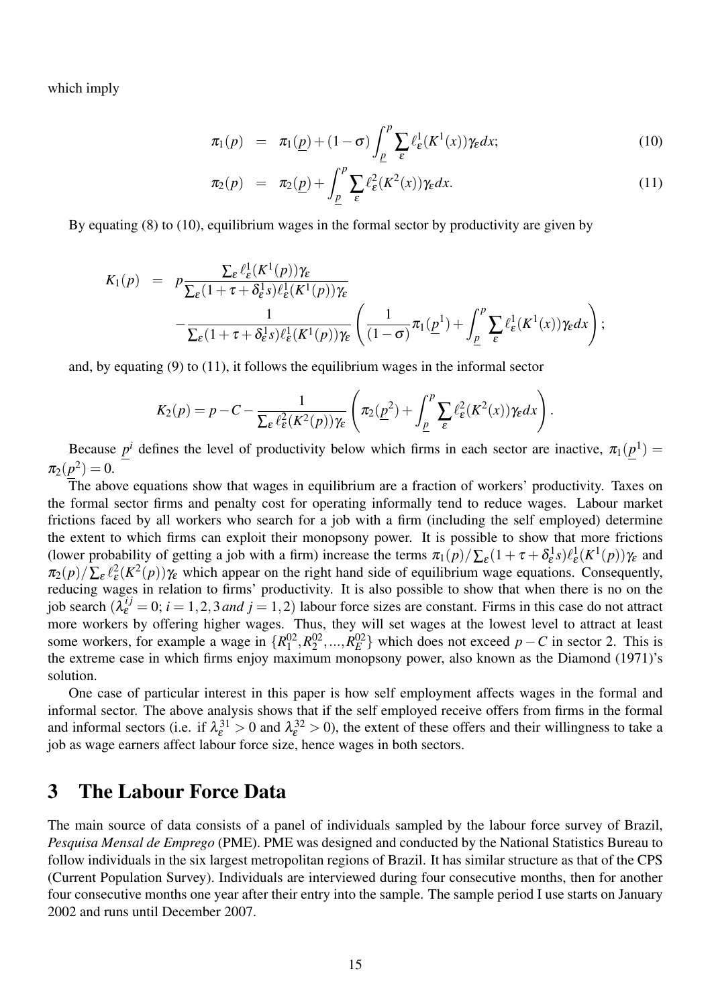which imply

$$
\pi_1(p) = \pi_1(\underline{p}) + (1 - \sigma) \int_{\underline{p}}^p \sum_{\varepsilon} \ell_{\varepsilon}^1(K^1(x)) \gamma_{\varepsilon} dx; \tag{10}
$$

$$
\pi_2(p) = \pi_2(\underline{p}) + \int_{\underline{p}}^p \sum_{\varepsilon} \ell_{\varepsilon}^2(K^2(x)) \gamma_{\varepsilon} dx.
$$
\n(11)

By equating (8) to (10), equilibrium wages in the formal sector by productivity are given by

$$
K_1(p) = p \frac{\sum_{\varepsilon} \ell_{\varepsilon}^1(K^1(p)) \gamma_{\varepsilon}}{\sum_{\varepsilon} (1 + \tau + \delta_{\varepsilon}^1 s) \ell_{\varepsilon}^1(K^1(p)) \gamma_{\varepsilon}} - \frac{1}{\sum_{\varepsilon} (1 + \tau + \delta_{\varepsilon}^1 s) \ell_{\varepsilon}^1(K^1(p)) \gamma_{\varepsilon}} \left( \frac{1}{(1 - \sigma)} \pi_1(\underline{p}^1) + \int_{\underline{p}}^p \sum_{\varepsilon} \ell_{\varepsilon}^1(K^1(x)) \gamma_{\varepsilon} dx \right);
$$

and, by equating (9) to (11), it follows the equilibrium wages in the informal sector

$$
K_2(p) = p - C - \frac{1}{\sum_{\varepsilon} \ell_{\varepsilon}^2 (K^2(p)) \gamma_{\varepsilon}} \left( \pi_2(\underline{p}^2) + \int_{\underline{p}}^p \sum_{\varepsilon} \ell_{\varepsilon}^2 (K^2(x)) \gamma_{\varepsilon} dx \right).
$$

Because  $p^i$  defines the level of productivity below which firms in each sector are inactive,  $\pi_1(p^1)$  =  $\pi_2(p^2) = 0.$ 

The above equations show that wages in equilibrium are a fraction of workers' productivity. Taxes on the formal sector firms and penalty cost for operating informally tend to reduce wages. Labour market frictions faced by all workers who search for a job with a firm (including the self employed) determine the extent to which firms can exploit their monopsony power. It is possible to show that more frictions (lower probability of getting a job with a firm) increase the terms  $\pi_1(p)/\sum_{\varepsilon} (1 + \tau + \delta_{\varepsilon}^1 s) \ell_{\varepsilon}^1(K^1(p)) \gamma_{\varepsilon}$  and  $\pi_2(p)/\sum_{\varepsilon} \ell_{\varepsilon}^2(K^2(p))\gamma_{\varepsilon}$  which appear on the right hand side of equilibrium wage equations. Consequently, reducing wages in relation to firms' productivity. It is also possible to show that when there is no on the job search  $(\lambda_{\varepsilon}^{ij} = 0; i = 1, 2, 3$  *and*  $j = 1, 2)$  labour force sizes are constant. Firms in this case do not attract more workers by offering higher wages. Thus, they will set wages at the lowest level to attract at least some workers, for example a wage in  $\{R_1^{02}\}$  $^{02}_{1}$ ,  $R^{02}_{2}$  $\{0.2^0, \ldots, R_E^{02}\}\$  which does not exceed *p* − *C* in sector 2. This is the extreme case in which firms enjoy maximum monopsony power, also known as the Diamond (1971)'s solution.

One case of particular interest in this paper is how self employment affects wages in the formal and informal sector. The above analysis shows that if the self employed receive offers from firms in the formal and informal sectors (i.e. if  $\lambda_{\varepsilon}^{31} > 0$  and  $\lambda_{\varepsilon}^{32} > 0$ ), the extent of these offers and their willingness to take a job as wage earners affect labour force size, hence wages in both sectors.

### 3 The Labour Force Data

The main source of data consists of a panel of individuals sampled by the labour force survey of Brazil, *Pesquisa Mensal de Emprego* (PME). PME was designed and conducted by the National Statistics Bureau to follow individuals in the six largest metropolitan regions of Brazil. It has similar structure as that of the CPS (Current Population Survey). Individuals are interviewed during four consecutive months, then for another four consecutive months one year after their entry into the sample. The sample period I use starts on January 2002 and runs until December 2007.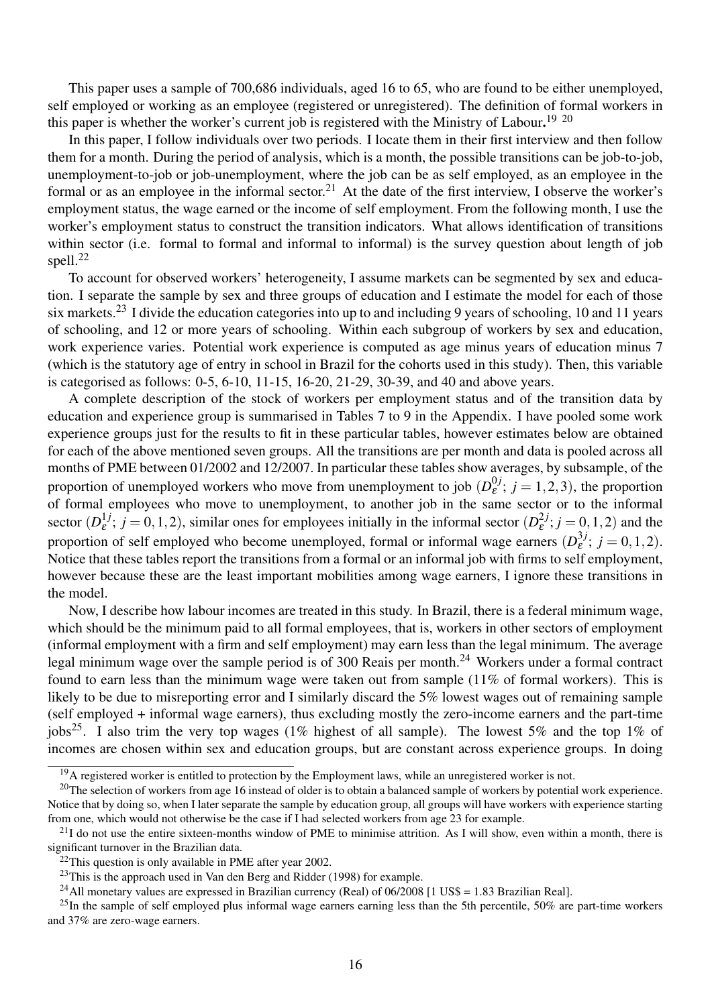This paper uses a sample of 700,686 individuals, aged 16 to 65, who are found to be either unemployed, self employed or working as an employee (registered or unregistered). The definition of formal workers in this paper is whether the worker's current job is registered with the Ministry of Labour.<sup>19 20</sup>

In this paper, I follow individuals over two periods. I locate them in their first interview and then follow them for a month. During the period of analysis, which is a month, the possible transitions can be job-to-job, unemployment-to-job or job-unemployment, where the job can be as self employed, as an employee in the formal or as an employee in the informal sector.<sup>21</sup> At the date of the first interview, I observe the worker's employment status, the wage earned or the income of self employment. From the following month, I use the worker's employment status to construct the transition indicators. What allows identification of transitions within sector (i.e. formal to formal and informal to informal) is the survey question about length of job spell.<sup>22</sup>

To account for observed workers' heterogeneity, I assume markets can be segmented by sex and education. I separate the sample by sex and three groups of education and I estimate the model for each of those six markets.<sup>23</sup> I divide the education categories into up to and including 9 years of schooling, 10 and 11 years of schooling, and 12 or more years of schooling. Within each subgroup of workers by sex and education, work experience varies. Potential work experience is computed as age minus years of education minus 7 (which is the statutory age of entry in school in Brazil for the cohorts used in this study). Then, this variable is categorised as follows: 0-5, 6-10, 11-15, 16-20, 21-29, 30-39, and 40 and above years.

A complete description of the stock of workers per employment status and of the transition data by education and experience group is summarised in Tables 7 to 9 in the Appendix. I have pooled some work experience groups just for the results to fit in these particular tables, however estimates below are obtained for each of the above mentioned seven groups. All the transitions are per month and data is pooled across all months of PME between 01/2002 and 12/2007. In particular these tables show averages, by subsample, of the proportion of unemployed workers who move from unemployment to job  $(D_{\varepsilon}^{0,j})$  $e^{i,j}_{\varepsilon}$ ;  $j = 1, 2, 3$ ), the proportion of formal employees who move to unemployment, to another job in the same sector or to the informal sector  $(D_{\varepsilon}^{1j})$  $\mathcal{L}_{\varepsilon}^{1j}$ ;  $j = 0, 1, 2$ ), similar ones for employees initially in the informal sector  $(D_{\varepsilon}^{2j})$  $\mathcal{E}^{2J}$ ;  $j = 0, 1, 2$ ) and the proportion of self employed who become unemployed, formal or informal wage earners  $(D_{\varepsilon}^{3j})$  $b_{\varepsilon}^{3j}$ ;  $j = 0, 1, 2$ ). Notice that these tables report the transitions from a formal or an informal job with firms to self employment, however because these are the least important mobilities among wage earners, I ignore these transitions in the model.

Now, I describe how labour incomes are treated in this study. In Brazil, there is a federal minimum wage, which should be the minimum paid to all formal employees, that is, workers in other sectors of employment (informal employment with a firm and self employment) may earn less than the legal minimum. The average legal minimum wage over the sample period is of 300 Reais per month.<sup>24</sup> Workers under a formal contract found to earn less than the minimum wage were taken out from sample (11% of formal workers). This is likely to be due to misreporting error and I similarly discard the 5% lowest wages out of remaining sample (self employed + informal wage earners), thus excluding mostly the zero-income earners and the part-time jobs<sup>25</sup>. I also trim the very top wages (1% highest of all sample). The lowest 5% and the top 1% of incomes are chosen within sex and education groups, but are constant across experience groups. In doing

<sup>&</sup>lt;sup>19</sup>A registered worker is entitled to protection by the Employment laws, while an unregistered worker is not.

 $^{20}$ The selection of workers from age 16 instead of older is to obtain a balanced sample of workers by potential work experience. Notice that by doing so, when I later separate the sample by education group, all groups will have workers with experience starting from one, which would not otherwise be the case if I had selected workers from age 23 for example.

 $^{21}$ I do not use the entire sixteen-months window of PME to minimise attrition. As I will show, even within a month, there is significant turnover in the Brazilian data.

 $22$ This question is only available in PME after year 2002.

 $23$ This is the approach used in Van den Berg and Ridder (1998) for example.

<sup>&</sup>lt;sup>24</sup>All monetary values are expressed in Brazilian currency (Real) of 06/2008 [1 US\$ = 1.83 Brazilian Real].

 $^{25}$ In the sample of self employed plus informal wage earners earning less than the 5th percentile, 50% are part-time workers and 37% are zero-wage earners.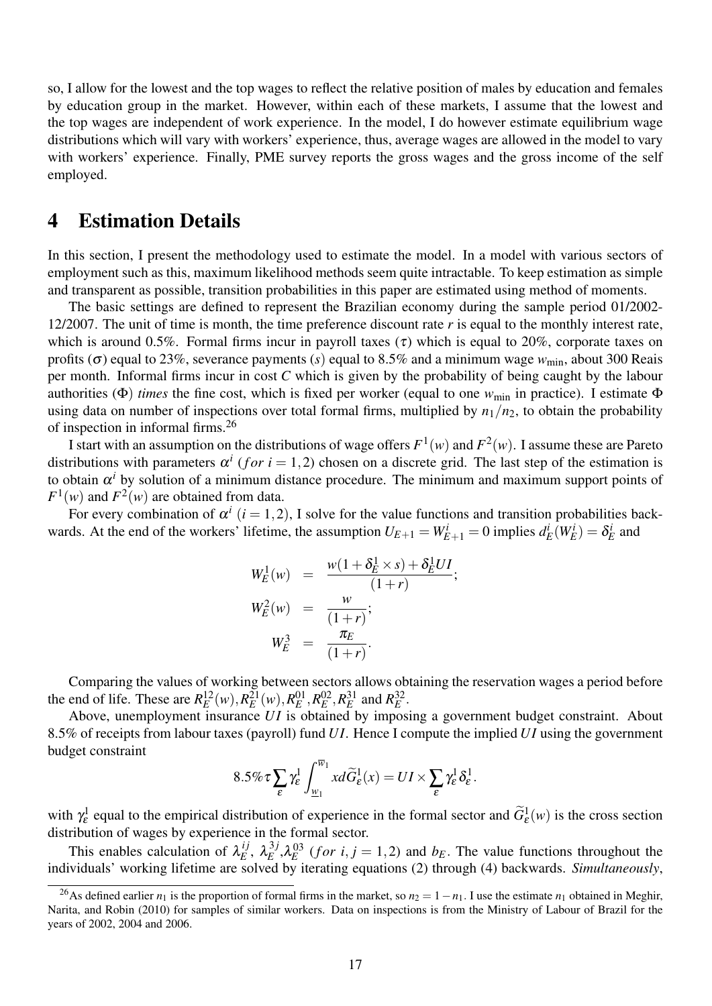so, I allow for the lowest and the top wages to reflect the relative position of males by education and females by education group in the market. However, within each of these markets, I assume that the lowest and the top wages are independent of work experience. In the model, I do however estimate equilibrium wage distributions which will vary with workers' experience, thus, average wages are allowed in the model to vary with workers' experience. Finally, PME survey reports the gross wages and the gross income of the self employed.

### 4 Estimation Details

In this section, I present the methodology used to estimate the model. In a model with various sectors of employment such as this, maximum likelihood methods seem quite intractable. To keep estimation as simple and transparent as possible, transition probabilities in this paper are estimated using method of moments.

The basic settings are defined to represent the Brazilian economy during the sample period 01/2002- 12/2007. The unit of time is month, the time preference discount rate *r* is equal to the monthly interest rate, which is around 0.5%. Formal firms incur in payroll taxes  $(\tau)$  which is equal to 20%, corporate taxes on profits ( $\sigma$ ) equal to 23%, severance payments (*s*) equal to 8.5% and a minimum wage  $w_{\text{min}}$ , about 300 Reais per month. Informal firms incur in cost *C* which is given by the probability of being caught by the labour authorities (Φ) *times* the fine cost, which is fixed per worker (equal to one *w*min in practice). I estimate Φ using data on number of inspections over total formal firms, multiplied by  $n_1/n_2$ , to obtain the probability of inspection in informal firms.<sup>26</sup>

I start with an assumption on the distributions of wage offers  $F^1(w)$  and  $F^2(w)$ . I assume these are Pareto distributions with parameters  $\alpha^{i}$  (*for*  $i = 1, 2$ ) chosen on a discrete grid. The last step of the estimation is to obtain  $\alpha^i$  by solution of a minimum distance procedure. The minimum and maximum support points of  $F^1(w)$  and  $F^2(w)$  are obtained from data.

For every combination of  $\alpha^{i}$  ( $i = 1, 2$ ), I solve for the value functions and transition probabilities backwards. At the end of the workers' lifetime, the assumption  $U_{E+1} = W_{E+1}^i = 0$  implies  $d_E^i(W_E^i) = \delta_E^i$  and

$$
W_E^1(w) = \frac{w(1 + \delta_E^1 \times s) + \delta_E^1 U I}{(1+r)};
$$
  
\n
$$
W_E^2(w) = \frac{w}{(1+r)};
$$
  
\n
$$
W_E^3 = \frac{\pi_E}{(1+r)}.
$$

Comparing the values of working between sectors allows obtaining the reservation wages a period before the end of life. These are  $R_E^{12}(w)$ ,  $R_E^{21}(w)$ ,  $R_E^{01}$ ,  $R_E^{02}$ ,  $R_E^{31}$  and  $R_E^{32}$ .

Above, unemployment insurance *UI* is obtained by imposing a government budget constraint. About 8.5% of receipts from labour taxes (payroll) fund *U I*. Hence I compute the implied *U I* using the government budget constraint

$$
8.5\%\tau\sum_{\varepsilon}\gamma_{\varepsilon}^{1}\int_{\underline{w}_{1}}^{\overline{w}_{1}}xd\widetilde{G}_{\varepsilon}^{1}(x)=UI\times\sum_{\varepsilon}\gamma_{\varepsilon}^{1}\delta_{\varepsilon}^{1}.
$$

with  $\gamma_{\varepsilon}^1$  equal to the empirical distribution of experience in the formal sector and  $\widetilde{G}_{\varepsilon}^1(w)$  is the cross section distribution of wages by experience in the formal sector.

This enables calculation of  $\lambda_E^{ij}$  $_{E}^{ij},\ \lambda _{E}^{3j}$  $E_E^{3j}$ ,  $\lambda_E^{03}$  (*for i*, *j* = 1,2) and *b<sub>E</sub>*. The value functions throughout the individuals' working lifetime are solved by iterating equations (2) through (4) backwards. *Simultaneously*,

<sup>&</sup>lt;sup>26</sup>As defined earlier  $n_1$  is the proportion of formal firms in the market, so  $n_2 = 1 - n_1$ . I use the estimate  $n_1$  obtained in Meghir, Narita, and Robin (2010) for samples of similar workers. Data on inspections is from the Ministry of Labour of Brazil for the years of 2002, 2004 and 2006.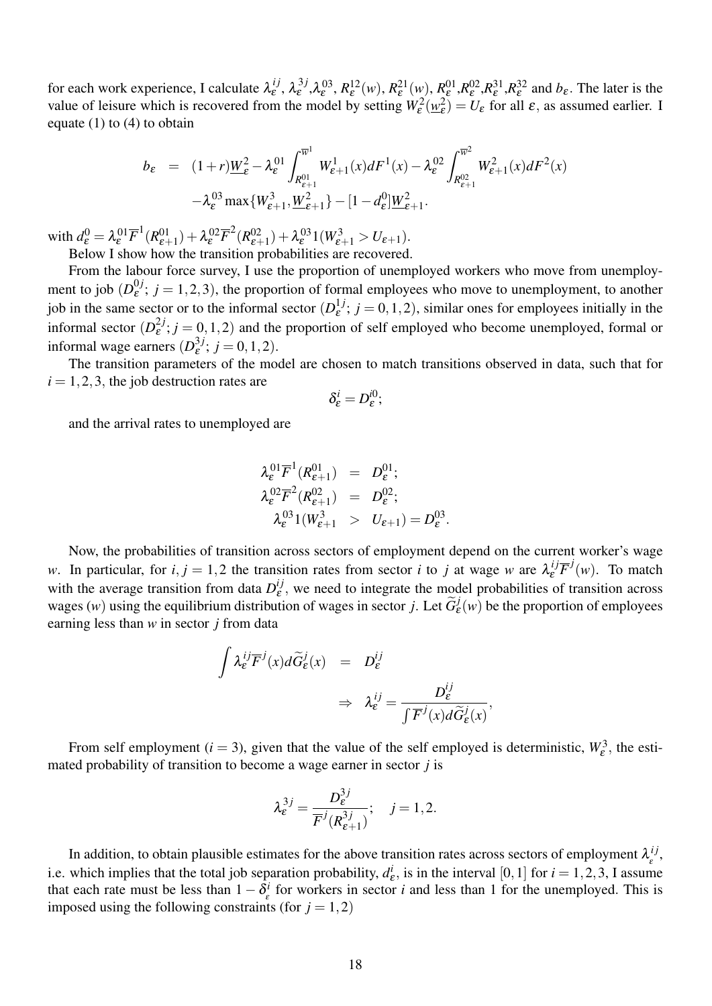for each work experience, I calculate  $\lambda_{\varepsilon}^{ij}$  $\hat{\mathcal{L}}_{\varepsilon}^{ij}$ ,  $\lambda_{\varepsilon}^{3j}$  $\mathcal{R}^{(3)}_{\varepsilon}$ ,  $\mathcal{R}^{(2)}_{\varepsilon}$ (*w*),  $\mathcal{R}^{(2)}_{\varepsilon}$  (*w*),  $\mathcal{R}^{(01)}_{\varepsilon}$ ,  $\mathcal{R}^{(02)}_{\varepsilon}$ ,  $\mathcal{R}^{(2)}_{\varepsilon}$ ,  $\mathcal{R}^{(32)}_{\varepsilon}$  and  $b_{\varepsilon}$ . The later is the value of leisure which is recovered from the model by setting  $W_{\varepsilon}^2(\underline{w}_{\varepsilon}^2)$  $\mathcal{L}_{\varepsilon}^{2}$  =  $U_{\varepsilon}$  for all  $\varepsilon$ , as assumed earlier. I equate  $(1)$  to  $(4)$  to obtain

$$
b_{\varepsilon} = (1+r)\underline{W}_{\varepsilon}^{2} - \lambda_{\varepsilon}^{01} \int_{R_{\varepsilon+1}^{01}}^{\overline{w}^{1}} W_{\varepsilon+1}^{1}(x) dF^{1}(x) - \lambda_{\varepsilon}^{02} \int_{R_{\varepsilon+1}^{02}}^{\overline{w}^{2}} W_{\varepsilon+1}^{2}(x) dF^{2}(x)
$$

$$
- \lambda_{\varepsilon}^{03} \max \{ W_{\varepsilon+1}^{3}, \underline{W}_{\varepsilon+1}^{2} \} - [1 - d_{\varepsilon}^{0}] \underline{W}_{\varepsilon+1}^{2}.
$$

 $\text{with } d_{\varepsilon}^0 = \lambda_{\varepsilon}^{01} \overline{F}^1 (R_{\varepsilon+1}^{01}) + \lambda_{\varepsilon}^{02} \overline{F}^2 (R_{\varepsilon+1}^{02}) + \lambda_{\varepsilon}^{03} 1 (W_{\varepsilon+1}^3 > U_{\varepsilon+1}).$ Below I show how the transition probabilities are recovered.

From the labour force survey, I use the proportion of unemployed workers who move from unemployment to job  $(D_{\varepsilon}^{0,j})$  $\epsilon^{0j}$ ;  $j = 1, 2, 3$ ), the proportion of formal employees who move to unemployment, to another job in the same sector or to the informal sector  $(D_{\varepsilon}^{1j})$  $\epsilon^{1}$ ;  $j = 0, 1, 2$ , similar ones for employees initially in the informal sector  $(D_{\varepsilon}^{2j})$  $\epsilon^{2j}$ ;  $j = 0, 1, 2$ ) and the proportion of self employed who become unemployed, formal or informal wage earners  $(D_{\varepsilon}^{3j}; j = 0, 1, 2)$ . ε

The transition parameters of the model are chosen to match transitions observed in data, such that for  $i = 1, 2, 3$ , the job destruction rates are

$$
\delta^i_{\varepsilon}=D^{i0}_{\varepsilon};
$$

and the arrival rates to unemployed are

$$
\lambda_{\varepsilon}^{01} \overline{F}^{1}(R_{\varepsilon+1}^{01}) = D_{\varepsilon}^{01};
$$
\n
$$
\lambda_{\varepsilon}^{02} \overline{F}^{2}(R_{\varepsilon+1}^{02}) = D_{\varepsilon}^{02};
$$
\n
$$
\lambda_{\varepsilon}^{03} 1(W_{\varepsilon+1}^{3}) > U_{\varepsilon+1}) = D_{\varepsilon}^{03}.
$$

Now, the probabilities of transition across sectors of employment depend on the current worker's wage *w*. In particular, for  $i, j = 1, 2$  the transition rates from sector *i* to *j* at wage *w* are  $\lambda_{\varepsilon}^{ij} \overline{F}^j(w)$ . To match with the average transition from data  $D_{\varepsilon}^{ij}$  $e^{i,j}$ , we need to integrate the model probabilities of transition across wages (*w*) using the equilibrium distribution of wages in sector *j*. Let  $\tilde{G}_{\varepsilon}^{j}(w)$  be the proportion of employees earning less than *w* in sector *j* from data

$$
\int \lambda_{\varepsilon}^{ij} \overline{F}^j(x) d\widetilde{G}_{\varepsilon}^j(x) = D_{\varepsilon}^{ij}
$$
\n
$$
\Rightarrow \lambda_{\varepsilon}^{ij} = \frac{D_{\varepsilon}^{ij}}{\int \overline{F}^j(x) d\widetilde{G}_{\varepsilon}^j(x)},
$$

From self employment ( $i = 3$ ), given that the value of the self employed is deterministic,  $W_{\varepsilon}^3$ , the estimated probability of transition to become a wage earner in sector *j* is

$$
\lambda_{\varepsilon}^{3j} = \frac{D_{\varepsilon}^{3j}}{\overline{F}^{j}(R_{\varepsilon+1}^{3j})}; \quad j = 1, 2.
$$

In addition, to obtain plausible estimates for the above transition rates across sectors of employment  $\lambda_i^{ij}$ , i.e. which implies that the total job separation probability,  $d_k^i$ , is in the interval [0, 1] for  $i = 1, 2, 3$ , I assume  $\mathbf{e}_\varepsilon^i$ , is in the interval [0, 1] for  $i = 1, 2, 3$ , I assume that each rate must be less than  $1 - \delta^i_s$  $\sum_{\varepsilon}^{i}$  for workers in sector *i* and less than 1 for the unemployed. This is imposed using the following constraints (for  $j = 1,2$ )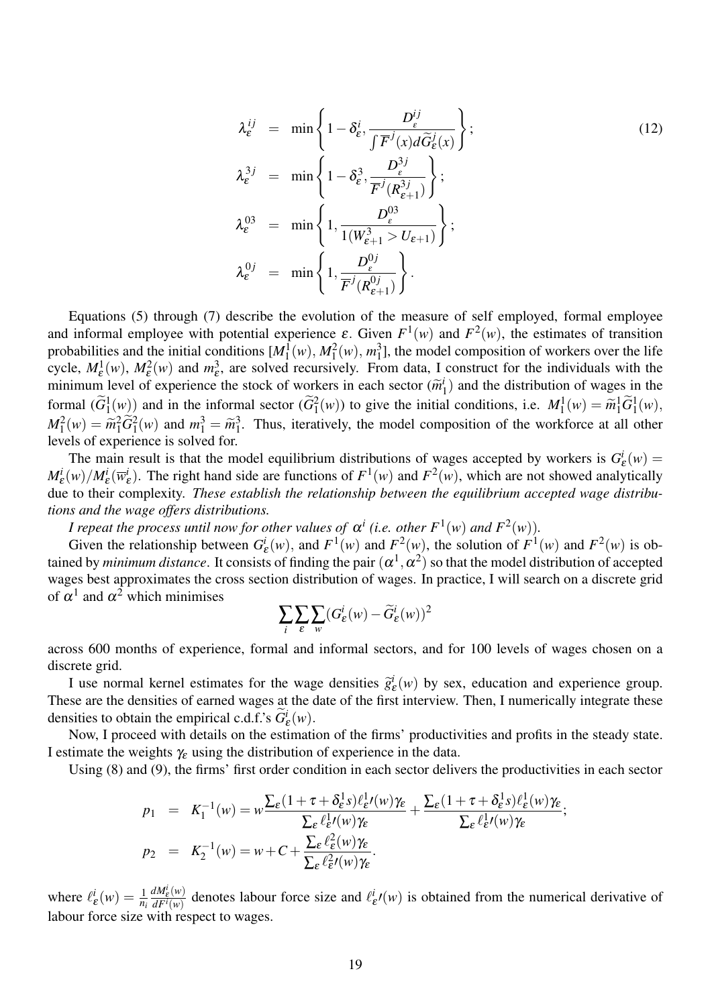$$
\lambda_{\varepsilon}^{ij} = \min \left\{ 1 - \delta_{\varepsilon}^{i}, \frac{D_{\varepsilon}^{ij}}{\int \overline{F}^{j}(x) d\widetilde{G}_{\varepsilon}^{j}(x)} \right\};
$$
\n
$$
\lambda_{\varepsilon}^{3j} = \min \left\{ 1 - \delta_{\varepsilon}^{3}, \frac{D_{\varepsilon}^{3j}}{\overline{F}^{j}(R_{\varepsilon+1}^{3j})} \right\};
$$
\n
$$
\lambda_{\varepsilon}^{03} = \min \left\{ 1, \frac{D_{\varepsilon}^{03}}{1(W_{\varepsilon+1}^{3} > U_{\varepsilon+1})} \right\};
$$
\n
$$
\lambda_{\varepsilon}^{0j} = \min \left\{ 1, \frac{D_{\varepsilon}^{0j}}{\overline{F}^{j}(R_{\varepsilon+1}^{0j})} \right\}.
$$
\n(12)

Equations (5) through (7) describe the evolution of the measure of self employed, formal employee and informal employee with potential experience  $\varepsilon$ . Given  $F^1(w)$  and  $F^2(w)$ , the estimates of transition probabilities and the initial conditions  $[M_1^1(w), M_1^2(w), m_1^3]$  $1<sub>1</sub>$ , the model composition of workers over the life cycle,  $M_{\varepsilon}^1(w)$ ,  $M_{\varepsilon}^2(w)$  and  $m_{\varepsilon}^3$ , are solved recursively. From data, I construct for the individuals with the minimum level of experience the stock of workers in each sector  $(\widetilde{m}^l)$ <br>farmed  $(\widetilde{C}^l(\cdot))$  and in the informal sector  $(\widetilde{C}^l(\cdot))$  to simply initial  $\binom{n}{1}$  and the distribution of wages in the formal  $(\widetilde{G}_1^1(w))$  and in the informal sector  $(\widetilde{G}_1^2(w))$  to give the initial conditions, i.e.  $M_1^1(w) = \widetilde{m}_1^1 \widetilde{G}_1^1(w)$ ,<br> $M_2^2(w) = \widetilde{m}_2^2 \widetilde{G}_2^2(w)$  and  $w_2^3 = \widetilde{m}_3^3$ . Thus, its<br>matrix the model co  $M_1^2(w) = \widetilde{m}_1^2 \widetilde{G}_1^2(w)$  and  $m_1^3 = \widetilde{m}_1^3$ <br>levels of experience is solved for  $1<sup>3</sup>$ . Thus, iteratively, the model composition of the workforce at all other levels of experience is solved for.

The main result is that the model equilibrium distributions of wages accepted by workers is *G i*  $\frac{d}{\varepsilon}(w) =$  $M_{\mathcal{E}}^i(w)/M_{\mathcal{E}}^i(\overline{w}_{\mathcal{E}}^i)$  $\mathcal{E}^i_{\varepsilon}$ ). The right hand side are functions of  $F^1(w)$  and  $F^2(w)$ , which are not showed analytically due to their complexity. *These establish the relationship between the equilibrium accepted wage distributions and the wage offers distributions.*

*I* repeat the process until now for other values of  $\alpha^{i}$  (i.e. other  $F^{1}(w)$  and  $F^{2}(w)$ ).

Given the relationship between *G i*  $\mathcal{L}^i(\mathcal{W})$ , and  $F^1(\mathcal{W})$  and  $F^2(\mathcal{W})$ , the solution of  $F^1(\mathcal{W})$  and  $F^2(\mathcal{W})$  is obtained by *minimum distance*. It consists of finding the pair  $(\alpha^1,\alpha^2)$  so that the model distribution of accepted wages best approximates the cross section distribution of wages. In practice, I will search on a discrete grid of  $\alpha^1$  and  $\alpha^2$  which minimises

$$
\sum_i \sum_\varepsilon \sum_w (G_\varepsilon^i(w) - \widetilde{G}_\varepsilon^i(w))^2
$$

across 600 months of experience, formal and informal sectors, and for 100 levels of wages chosen on a discrete grid.

I use normal kernel estimates for the wage densities  $\hat{g}_k^i$  $e^i(\theta)$  by sex, education and experience group. These are the densities of earned wages at the date of the first interview. Then, I numerically integrate these densities to obtain the empirical c.d.f.'s  $\widetilde{G}_{\varepsilon}^{i}(w)$ .

Now, I proceed with details on the estimation of the firms' productivities and profits in the steady state. I estimate the weights  $\gamma_{\varepsilon}$  using the distribution of experience in the data.

Using (8) and (9), the firms' first order condition in each sector delivers the productivities in each sector

$$
p_1 = K_1^{-1}(w) = w \frac{\sum_{\varepsilon} (1 + \tau + \delta_{\varepsilon}^1 s) \ell_{\varepsilon}^1(w) \gamma_{\varepsilon}}{\sum_{\varepsilon} \ell_{\varepsilon}^1(w) \gamma_{\varepsilon}} + \frac{\sum_{\varepsilon} (1 + \tau + \delta_{\varepsilon}^1 s) \ell_{\varepsilon}^1(w) \gamma_{\varepsilon}}{\sum_{\varepsilon} \ell_{\varepsilon}^1(w) \gamma_{\varepsilon}};
$$
  

$$
p_2 = K_2^{-1}(w) = w + C + \frac{\sum_{\varepsilon} \ell_{\varepsilon}^2(w) \gamma_{\varepsilon}}{\sum_{\varepsilon} \ell_{\varepsilon}^2(w) \gamma_{\varepsilon}}.
$$

where  $\ell^i_i$  $\frac{i}{\varepsilon}(w) = \frac{1}{n_i}$ *dM<sup>i</sup>* ε (*w*)  $\frac{dM_{\varepsilon}(w)}{dF^i(w)}$  denotes labour force size and  $\ell_i$  $\frac{d}{dx}$  $\ell(w)$  is obtained from the numerical derivative of labour force size with respect to wages.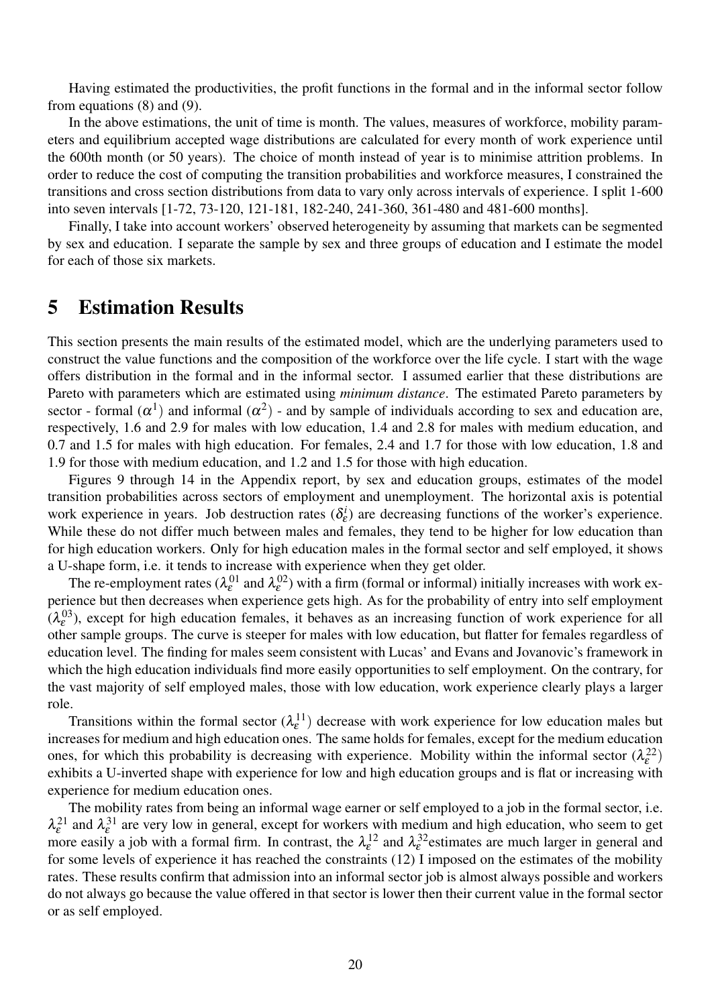Having estimated the productivities, the profit functions in the formal and in the informal sector follow from equations (8) and (9).

In the above estimations, the unit of time is month. The values, measures of workforce, mobility parameters and equilibrium accepted wage distributions are calculated for every month of work experience until the 600th month (or 50 years). The choice of month instead of year is to minimise attrition problems. In order to reduce the cost of computing the transition probabilities and workforce measures, I constrained the transitions and cross section distributions from data to vary only across intervals of experience. I split 1-600 into seven intervals [1-72, 73-120, 121-181, 182-240, 241-360, 361-480 and 481-600 months].

Finally, I take into account workers' observed heterogeneity by assuming that markets can be segmented by sex and education. I separate the sample by sex and three groups of education and I estimate the model for each of those six markets.

### 5 Estimation Results

This section presents the main results of the estimated model, which are the underlying parameters used to construct the value functions and the composition of the workforce over the life cycle. I start with the wage offers distribution in the formal and in the informal sector. I assumed earlier that these distributions are Pareto with parameters which are estimated using *minimum distance*. The estimated Pareto parameters by sector - formal  $(\alpha^1)$  and informal  $(\alpha^2)$  - and by sample of individuals according to sex and education are, respectively, 1.6 and 2.9 for males with low education, 1.4 and 2.8 for males with medium education, and 0.7 and 1.5 for males with high education. For females, 2.4 and 1.7 for those with low education, 1.8 and 1.9 for those with medium education, and 1.2 and 1.5 for those with high education.

Figures 9 through 14 in the Appendix report, by sex and education groups, estimates of the model transition probabilities across sectors of employment and unemployment. The horizontal axis is potential work experience in years. Job destruction rates  $(\delta_{\varepsilon}^{i})$  $\zeta_{\varepsilon}^{i}$ ) are decreasing functions of the worker's experience. While these do not differ much between males and females, they tend to be higher for low education than for high education workers. Only for high education males in the formal sector and self employed, it shows a U-shape form, i.e. it tends to increase with experience when they get older.

The re-employment rates ( $\lambda_{\epsilon}^{01}$  and  $\lambda_{\epsilon}^{02}$ ) with a firm (formal or informal) initially increases with work experience but then decreases when experience gets high. As for the probability of entry into self employment  $(\lambda_{\varepsilon}^{03})$ , except for high education females, it behaves as an increasing function of work experience for all other sample groups. The curve is steeper for males with low education, but flatter for females regardless of education level. The finding for males seem consistent with Lucas' and Evans and Jovanovic's framework in which the high education individuals find more easily opportunities to self employment. On the contrary, for the vast majority of self employed males, those with low education, work experience clearly plays a larger role.

Transitions within the formal sector  $(\lambda_{\varepsilon}^{11})$  decrease with work experience for low education males but increases for medium and high education ones. The same holds for females, except for the medium education ones, for which this probability is decreasing with experience. Mobility within the informal sector  $(\lambda_{\epsilon}^{22})$ exhibits a U-inverted shape with experience for low and high education groups and is flat or increasing with experience for medium education ones.

The mobility rates from being an informal wage earner or self employed to a job in the formal sector, i.e.  $\lambda_{\varepsilon}^{21}$  and  $\lambda_{\varepsilon}^{31}$  are very low in general, except for workers with medium and high education, who seem to get more easily a job with a formal firm. In contrast, the  $\lambda_{\varepsilon}^{12}$  and  $\lambda_{\varepsilon}^{32}$  estimates are much larger in general and for some levels of experience it has reached the constraints (12) I imposed on the estimates of the mobility rates. These results confirm that admission into an informal sector job is almost always possible and workers do not always go because the value offered in that sector is lower then their current value in the formal sector or as self employed.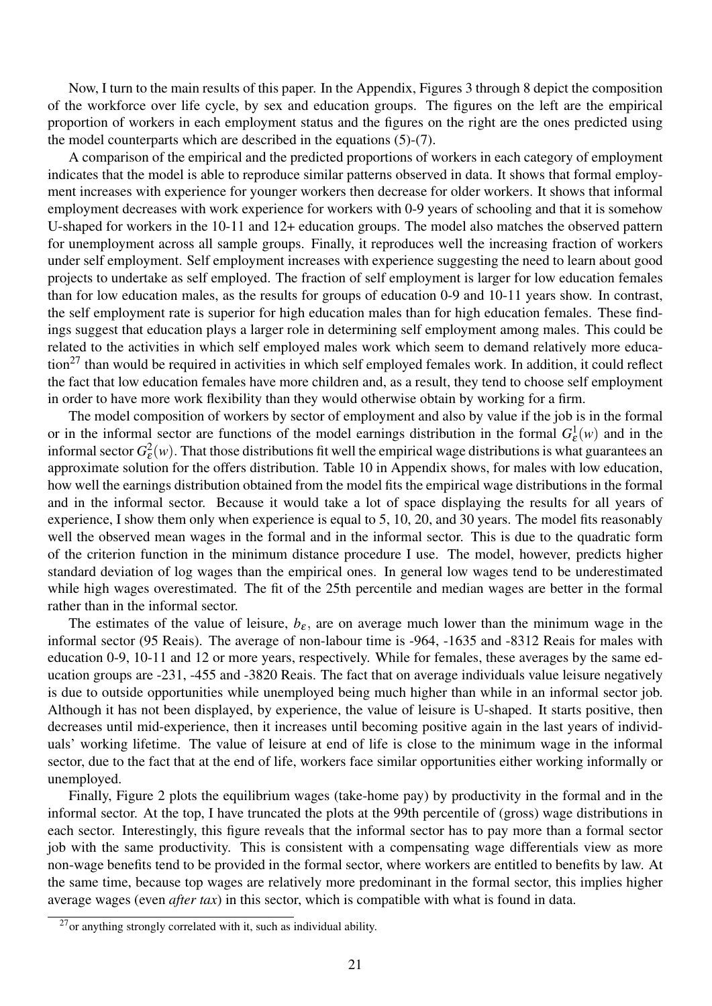Now, I turn to the main results of this paper. In the Appendix, Figures 3 through 8 depict the composition of the workforce over life cycle, by sex and education groups. The figures on the left are the empirical proportion of workers in each employment status and the figures on the right are the ones predicted using the model counterparts which are described in the equations (5)-(7).

A comparison of the empirical and the predicted proportions of workers in each category of employment indicates that the model is able to reproduce similar patterns observed in data. It shows that formal employment increases with experience for younger workers then decrease for older workers. It shows that informal employment decreases with work experience for workers with 0-9 years of schooling and that it is somehow U-shaped for workers in the 10-11 and 12+ education groups. The model also matches the observed pattern for unemployment across all sample groups. Finally, it reproduces well the increasing fraction of workers under self employment. Self employment increases with experience suggesting the need to learn about good projects to undertake as self employed. The fraction of self employment is larger for low education females than for low education males, as the results for groups of education 0-9 and 10-11 years show. In contrast, the self employment rate is superior for high education males than for high education females. These findings suggest that education plays a larger role in determining self employment among males. This could be related to the activities in which self employed males work which seem to demand relatively more education<sup>27</sup> than would be required in activities in which self employed females work. In addition, it could reflect the fact that low education females have more children and, as a result, they tend to choose self employment in order to have more work flexibility than they would otherwise obtain by working for a firm.

The model composition of workers by sector of employment and also by value if the job is in the formal or in the informal sector are functions of the model earnings distribution in the formal  $G_{\varepsilon}^1(w)$  and in the informal sector  $G_{\varepsilon}^2(w)$ . That those distributions fit well the empirical wage distributions is what guarantees an approximate solution for the offers distribution. Table 10 in Appendix shows, for males with low education, how well the earnings distribution obtained from the model fits the empirical wage distributions in the formal and in the informal sector. Because it would take a lot of space displaying the results for all years of experience, I show them only when experience is equal to 5, 10, 20, and 30 years. The model fits reasonably well the observed mean wages in the formal and in the informal sector. This is due to the quadratic form of the criterion function in the minimum distance procedure I use. The model, however, predicts higher standard deviation of log wages than the empirical ones. In general low wages tend to be underestimated while high wages overestimated. The fit of the 25th percentile and median wages are better in the formal rather than in the informal sector.

The estimates of the value of leisure,  $b_{\varepsilon}$ , are on average much lower than the minimum wage in the informal sector (95 Reais). The average of non-labour time is -964, -1635 and -8312 Reais for males with education 0-9, 10-11 and 12 or more years, respectively. While for females, these averages by the same education groups are -231, -455 and -3820 Reais. The fact that on average individuals value leisure negatively is due to outside opportunities while unemployed being much higher than while in an informal sector job. Although it has not been displayed, by experience, the value of leisure is U-shaped. It starts positive, then decreases until mid-experience, then it increases until becoming positive again in the last years of individuals' working lifetime. The value of leisure at end of life is close to the minimum wage in the informal sector, due to the fact that at the end of life, workers face similar opportunities either working informally or unemployed.

Finally, Figure 2 plots the equilibrium wages (take-home pay) by productivity in the formal and in the informal sector. At the top, I have truncated the plots at the 99th percentile of (gross) wage distributions in each sector. Interestingly, this figure reveals that the informal sector has to pay more than a formal sector job with the same productivity. This is consistent with a compensating wage differentials view as more non-wage benefits tend to be provided in the formal sector, where workers are entitled to benefits by law. At the same time, because top wages are relatively more predominant in the formal sector, this implies higher average wages (even *after tax*) in this sector, which is compatible with what is found in data.

 $27$ or anything strongly correlated with it, such as individual ability.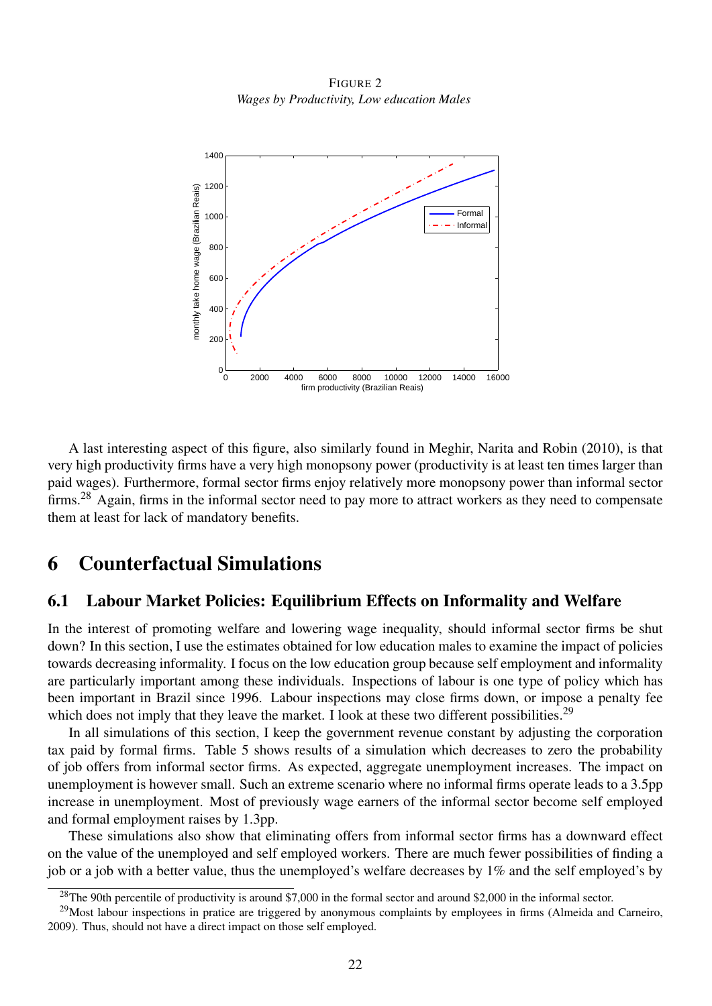FIGURE 2 *Wages by Productivity, Low education Males*



A last interesting aspect of this figure, also similarly found in Meghir, Narita and Robin (2010), is that very high productivity firms have a very high monopsony power (productivity is at least ten times larger than paid wages). Furthermore, formal sector firms enjoy relatively more monopsony power than informal sector firms.<sup>28</sup> Again, firms in the informal sector need to pay more to attract workers as they need to compensate them at least for lack of mandatory benefits.

### 6 Counterfactual Simulations

#### 6.1 Labour Market Policies: Equilibrium Effects on Informality and Welfare

In the interest of promoting welfare and lowering wage inequality, should informal sector firms be shut down? In this section, I use the estimates obtained for low education males to examine the impact of policies towards decreasing informality. I focus on the low education group because self employment and informality are particularly important among these individuals. Inspections of labour is one type of policy which has been important in Brazil since 1996. Labour inspections may close firms down, or impose a penalty fee which does not imply that they leave the market. I look at these two different possibilities.<sup>29</sup>

In all simulations of this section, I keep the government revenue constant by adjusting the corporation tax paid by formal firms. Table 5 shows results of a simulation which decreases to zero the probability of job offers from informal sector firms. As expected, aggregate unemployment increases. The impact on unemployment is however small. Such an extreme scenario where no informal firms operate leads to a 3.5pp increase in unemployment. Most of previously wage earners of the informal sector become self employed and formal employment raises by 1.3pp.

These simulations also show that eliminating offers from informal sector firms has a downward effect on the value of the unemployed and self employed workers. There are much fewer possibilities of finding a job or a job with a better value, thus the unemployed's welfare decreases by 1% and the self employed's by

<sup>&</sup>lt;sup>28</sup>The 90th percentile of productivity is around \$7,000 in the formal sector and around \$2,000 in the informal sector.

<sup>&</sup>lt;sup>29</sup>Most labour inspections in pratice are triggered by anonymous complaints by employees in firms (Almeida and Carneiro, 2009). Thus, should not have a direct impact on those self employed.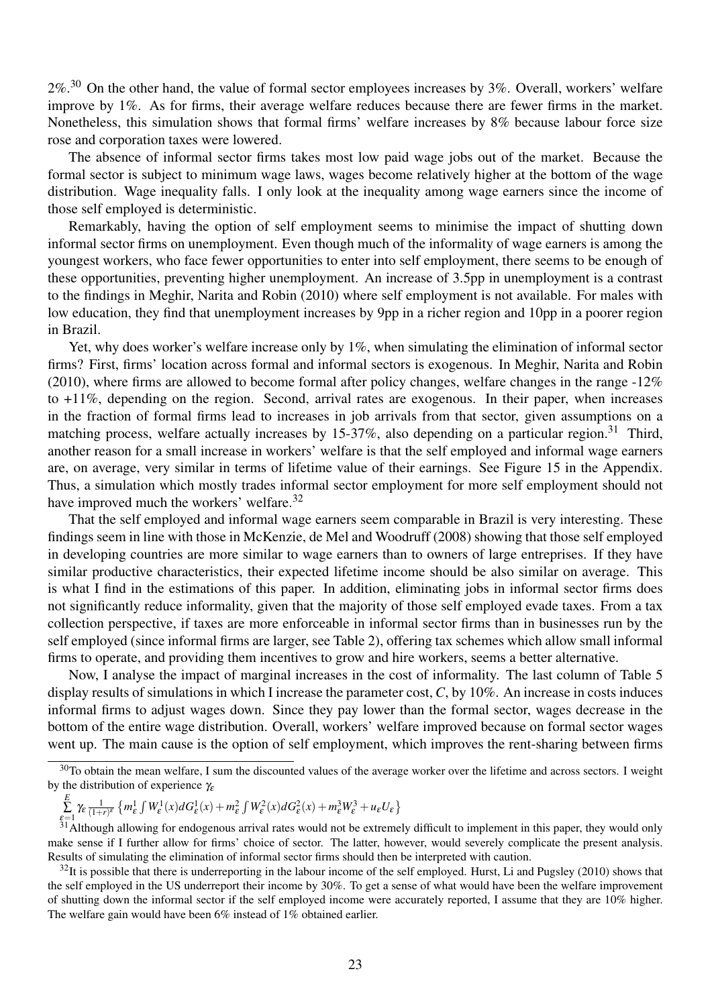$2\%$ .<sup>30</sup> On the other hand, the value of formal sector employees increases by 3%. Overall, workers' welfare improve by 1%. As for firms, their average welfare reduces because there are fewer firms in the market. Nonetheless, this simulation shows that formal firms' welfare increases by 8% because labour force size rose and corporation taxes were lowered.

The absence of informal sector firms takes most low paid wage jobs out of the market. Because the formal sector is subject to minimum wage laws, wages become relatively higher at the bottom of the wage distribution. Wage inequality falls. I only look at the inequality among wage earners since the income of those self employed is deterministic.

Remarkably, having the option of self employment seems to minimise the impact of shutting down informal sector firms on unemployment. Even though much of the informality of wage earners is among the youngest workers, who face fewer opportunities to enter into self employment, there seems to be enough of these opportunities, preventing higher unemployment. An increase of 3.5pp in unemployment is a contrast to the findings in Meghir, Narita and Robin (2010) where self employment is not available. For males with low education, they find that unemployment increases by 9pp in a richer region and 10pp in a poorer region in Brazil.

Yet, why does worker's welfare increase only by 1%, when simulating the elimination of informal sector firms? First, firms' location across formal and informal sectors is exogenous. In Meghir, Narita and Robin (2010), where firms are allowed to become formal after policy changes, welfare changes in the range  $-12\%$ to +11%, depending on the region. Second, arrival rates are exogenous. In their paper, when increases in the fraction of formal firms lead to increases in job arrivals from that sector, given assumptions on a matching process, welfare actually increases by 15-37%, also depending on a particular region.<sup>31</sup> Third, another reason for a small increase in workers' welfare is that the self employed and informal wage earners are, on average, very similar in terms of lifetime value of their earnings. See Figure 15 in the Appendix. Thus, a simulation which mostly trades informal sector employment for more self employment should not have improved much the workers' welfare.<sup>32</sup>

That the self employed and informal wage earners seem comparable in Brazil is very interesting. These findings seem in line with those in McKenzie, de Mel and Woodruff (2008) showing that those self employed in developing countries are more similar to wage earners than to owners of large entreprises. If they have similar productive characteristics, their expected lifetime income should be also similar on average. This is what I find in the estimations of this paper. In addition, eliminating jobs in informal sector firms does not significantly reduce informality, given that the majority of those self employed evade taxes. From a tax collection perspective, if taxes are more enforceable in informal sector firms than in businesses run by the self employed (since informal firms are larger, see Table 2), offering tax schemes which allow small informal firms to operate, and providing them incentives to grow and hire workers, seems a better alternative.

Now, I analyse the impact of marginal increases in the cost of informality. The last column of Table 5 display results of simulations in which I increase the parameter cost, *C*, by 10%. An increase in costs induces informal firms to adjust wages down. Since they pay lower than the formal sector, wages decrease in the bottom of the entire wage distribution. Overall, workers' welfare improved because on formal sector wages went up. The main cause is the option of self employment, which improves the rent-sharing between firms

$$
\sum_{\mathcal{E}=1}^{E}\gamma_{\mathcal{E}}\tfrac{1}{(1+r)^{\mathcal{E}}}\left\{m^1_{\mathcal{E}}\int W^1_{\mathcal{E}}(x)dG^1_{\mathcal{E}}(x)+m^2_{\mathcal{E}}\int W^2_{\mathcal{E}}(x)dG^2_{\mathcal{E}}(x)+m^3_{\mathcal{E}}W^3_{\mathcal{E}}+u_{\mathcal{E}}U_{\mathcal{E}}\right\}
$$

<sup>&</sup>lt;sup>30</sup>To obtain the mean welfare, I sum the discounted values of the average worker over the lifetime and across sectors. I weight by the distribution of experience  $\gamma_{\varepsilon}$ 

 $\varepsilon=1$  (1997) (1998)  $\epsilon=31$  Although allowing for endogenous arrival rates would not be extremely difficult to implement in this paper, they would only make sense if I further allow for firms' choice of sector. The latter, however, would severely complicate the present analysis. Results of simulating the elimination of informal sector firms should then be interpreted with caution.

 $32$ It is possible that there is underreporting in the labour income of the self employed. Hurst, Li and Pugsley (2010) shows that the self employed in the US underreport their income by 30%. To get a sense of what would have been the welfare improvement of shutting down the informal sector if the self employed income were accurately reported, I assume that they are 10% higher. The welfare gain would have been 6% instead of 1% obtained earlier.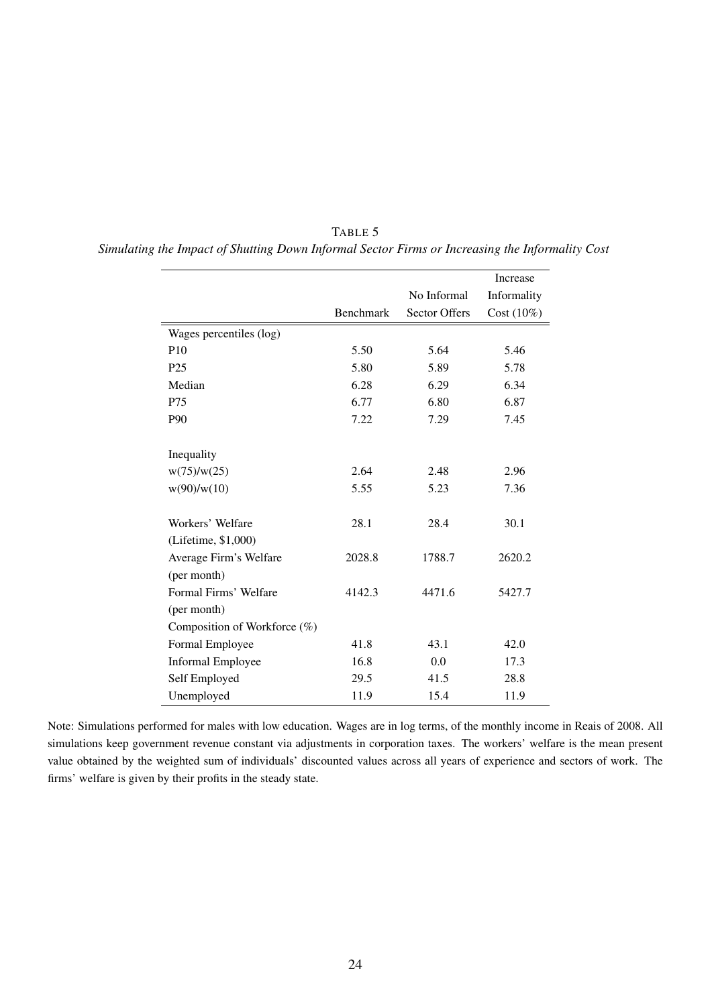|                              |           |                      | Increase      |
|------------------------------|-----------|----------------------|---------------|
|                              |           | No Informal          | Informality   |
|                              | Benchmark | <b>Sector Offers</b> | Cost $(10\%)$ |
| Wages percentiles (log)      |           |                      |               |
| P <sub>10</sub>              | 5.50      | 5.64                 | 5.46          |
| P <sub>25</sub>              | 5.80      | 5.89                 | 5.78          |
| Median                       | 6.28      | 6.29                 | 6.34          |
| P75                          | 6.77      | 6.80                 | 6.87          |
| P90                          | 7.22      | 7.29                 | 7.45          |
| Inequality                   |           |                      |               |
| w(75)/w(25)                  | 2.64      | 2.48                 | 2.96          |
| w(90)/w(10)                  | 5.55      | 5.23                 | 7.36          |
| Workers' Welfare             | 28.1      | 28.4                 | 30.1          |
| (Lifetime, \$1,000)          |           |                      |               |
| Average Firm's Welfare       | 2028.8    | 1788.7               | 2620.2        |
| (per month)                  |           |                      |               |
| Formal Firms' Welfare        | 4142.3    | 4471.6               | 5427.7        |
| (per month)                  |           |                      |               |
| Composition of Workforce (%) |           |                      |               |
| Formal Employee              | 41.8      | 43.1                 | 42.0          |
| <b>Informal Employee</b>     | 16.8      | 0.0                  | 17.3          |
| Self Employed                | 29.5      | 41.5                 | 28.8          |
| Unemployed                   | 11.9      | 15.4                 | 11.9          |

| TABLE 5                                                                                         |
|-------------------------------------------------------------------------------------------------|
| Simulating the Impact of Shutting Down Informal Sector Firms or Increasing the Informality Cost |

Note: Simulations performed for males with low education. Wages are in log terms, of the monthly income in Reais of 2008. All simulations keep government revenue constant via adjustments in corporation taxes. The workers' welfare is the mean present value obtained by the weighted sum of individuals' discounted values across all years of experience and sectors of work. The firms' welfare is given by their profits in the steady state.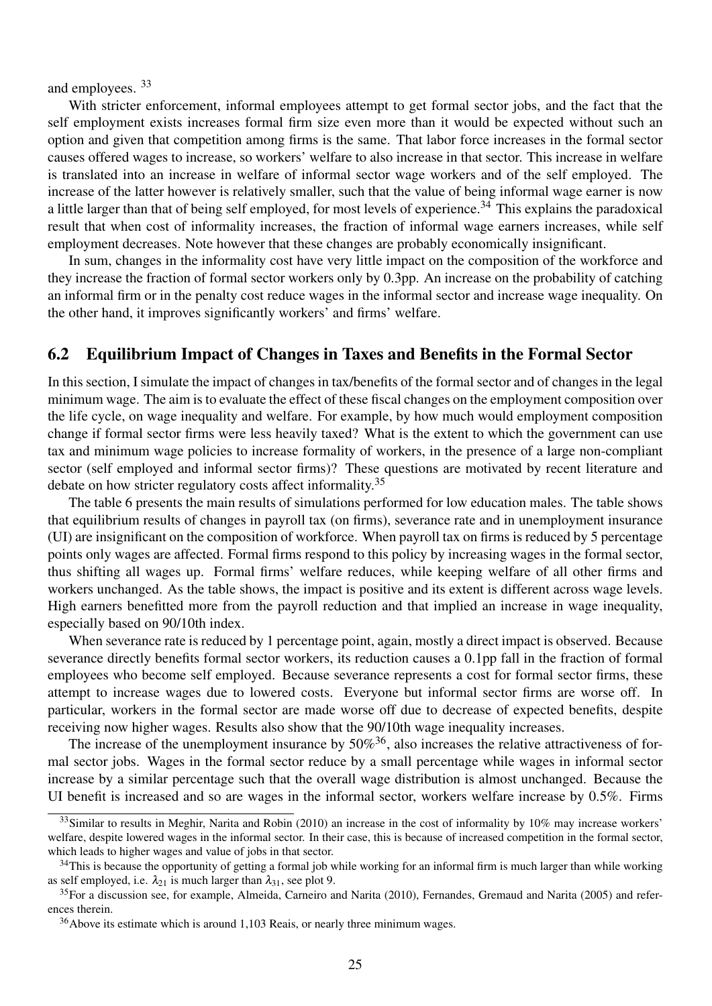and employees. <sup>33</sup>

With stricter enforcement, informal employees attempt to get formal sector jobs, and the fact that the self employment exists increases formal firm size even more than it would be expected without such an option and given that competition among firms is the same. That labor force increases in the formal sector causes offered wages to increase, so workers' welfare to also increase in that sector. This increase in welfare is translated into an increase in welfare of informal sector wage workers and of the self employed. The increase of the latter however is relatively smaller, such that the value of being informal wage earner is now a little larger than that of being self employed, for most levels of experience.<sup>34</sup> This explains the paradoxical result that when cost of informality increases, the fraction of informal wage earners increases, while self employment decreases. Note however that these changes are probably economically insignificant.

In sum, changes in the informality cost have very little impact on the composition of the workforce and they increase the fraction of formal sector workers only by 0.3pp. An increase on the probability of catching an informal firm or in the penalty cost reduce wages in the informal sector and increase wage inequality. On the other hand, it improves significantly workers' and firms' welfare.

#### 6.2 Equilibrium Impact of Changes in Taxes and Benefits in the Formal Sector

In this section, I simulate the impact of changes in tax/benefits of the formal sector and of changes in the legal minimum wage. The aim is to evaluate the effect of these fiscal changes on the employment composition over the life cycle, on wage inequality and welfare. For example, by how much would employment composition change if formal sector firms were less heavily taxed? What is the extent to which the government can use tax and minimum wage policies to increase formality of workers, in the presence of a large non-compliant sector (self employed and informal sector firms)? These questions are motivated by recent literature and debate on how stricter regulatory costs affect informality.<sup>35</sup>

The table 6 presents the main results of simulations performed for low education males. The table shows that equilibrium results of changes in payroll tax (on firms), severance rate and in unemployment insurance (UI) are insignificant on the composition of workforce. When payroll tax on firms is reduced by 5 percentage points only wages are affected. Formal firms respond to this policy by increasing wages in the formal sector, thus shifting all wages up. Formal firms' welfare reduces, while keeping welfare of all other firms and workers unchanged. As the table shows, the impact is positive and its extent is different across wage levels. High earners benefitted more from the payroll reduction and that implied an increase in wage inequality, especially based on 90/10th index.

When severance rate is reduced by 1 percentage point, again, mostly a direct impact is observed. Because severance directly benefits formal sector workers, its reduction causes a 0.1pp fall in the fraction of formal employees who become self employed. Because severance represents a cost for formal sector firms, these attempt to increase wages due to lowered costs. Everyone but informal sector firms are worse off. In particular, workers in the formal sector are made worse off due to decrease of expected benefits, despite receiving now higher wages. Results also show that the 90/10th wage inequality increases.

The increase of the unemployment insurance by  $50\%$ <sup>36</sup>, also increases the relative attractiveness of formal sector jobs. Wages in the formal sector reduce by a small percentage while wages in informal sector increase by a similar percentage such that the overall wage distribution is almost unchanged. Because the UI benefit is increased and so are wages in the informal sector, workers welfare increase by 0.5%. Firms

 $33$ Similar to results in Meghir, Narita and Robin (2010) an increase in the cost of informality by 10% may increase workers' welfare, despite lowered wages in the informal sector. In their case, this is because of increased competition in the formal sector, which leads to higher wages and value of jobs in that sector.

 $34$ This is because the opportunity of getting a formal job while working for an informal firm is much larger than while working as self employed, i.e.  $\lambda_{21}$  is much larger than  $\lambda_{31}$ , see plot 9.

<sup>&</sup>lt;sup>35</sup>For a discussion see, for example, Almeida, Carneiro and Narita (2010), Fernandes, Gremaud and Narita (2005) and references therein.

<sup>&</sup>lt;sup>36</sup>Above its estimate which is around 1,103 Reais, or nearly three minimum wages.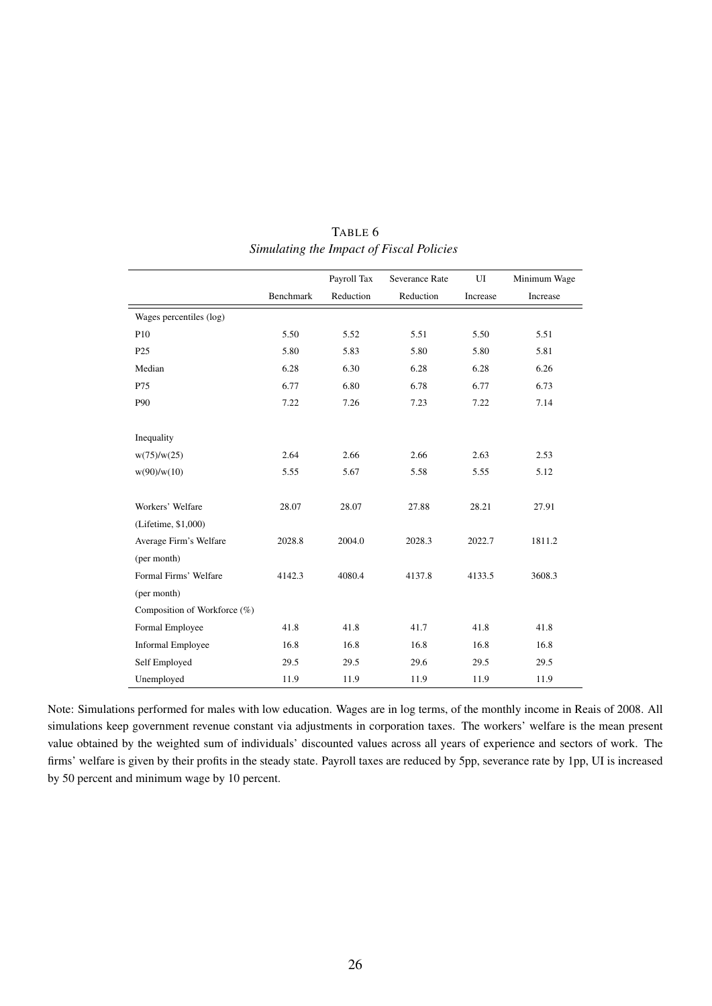|                              |           | Payroll Tax | Severance Rate | UI       | Minimum Wage |
|------------------------------|-----------|-------------|----------------|----------|--------------|
|                              | Benchmark | Reduction   | Reduction      | Increase | Increase     |
| Wages percentiles (log)      |           |             |                |          |              |
| P <sub>10</sub>              | 5.50      | 5.52        | 5.51           | 5.50     | 5.51         |
| P <sub>25</sub>              | 5.80      | 5.83        | 5.80           | 5.80     | 5.81         |
| Median                       | 6.28      | 6.30        | 6.28           | 6.28     | 6.26         |
| P75                          | 6.77      | 6.80        | 6.78           | 6.77     | 6.73         |
| P90                          | 7.22      | 7.26        | 7.23           | 7.22     | 7.14         |
|                              |           |             |                |          |              |
| Inequality                   |           |             |                |          |              |
| w(75)/w(25)                  | 2.64      | 2.66        | 2.66           | 2.63     | 2.53         |
| w(90)/w(10)                  | 5.55      | 5.67        | 5.58           | 5.55     | 5.12         |
|                              |           |             |                |          |              |
| Workers' Welfare             | 28.07     | 28.07       | 27.88          | 28.21    | 27.91        |
| (Lifetime, \$1,000)          |           |             |                |          |              |
| Average Firm's Welfare       | 2028.8    | 2004.0      | 2028.3         | 2022.7   | 1811.2       |
| (per month)                  |           |             |                |          |              |
| Formal Firms' Welfare        | 4142.3    | 4080.4      | 4137.8         | 4133.5   | 3608.3       |
| (per month)                  |           |             |                |          |              |
| Composition of Workforce (%) |           |             |                |          |              |
| Formal Employee              | 41.8      | 41.8        | 41.7           | 41.8     | 41.8         |
| <b>Informal Employee</b>     | 16.8      | 16.8        | 16.8           | 16.8     | 16.8         |
| Self Employed                | 29.5      | 29.5        | 29.6           | 29.5     | 29.5         |
| Unemployed                   | 11.9      | 11.9        | 11.9           | 11.9     | 11.9         |

TABLE 6 *Simulating the Impact of Fiscal Policies*

Note: Simulations performed for males with low education. Wages are in log terms, of the monthly income in Reais of 2008. All simulations keep government revenue constant via adjustments in corporation taxes. The workers' welfare is the mean present value obtained by the weighted sum of individuals' discounted values across all years of experience and sectors of work. The firms' welfare is given by their profits in the steady state. Payroll taxes are reduced by 5pp, severance rate by 1pp, UI is increased by 50 percent and minimum wage by 10 percent.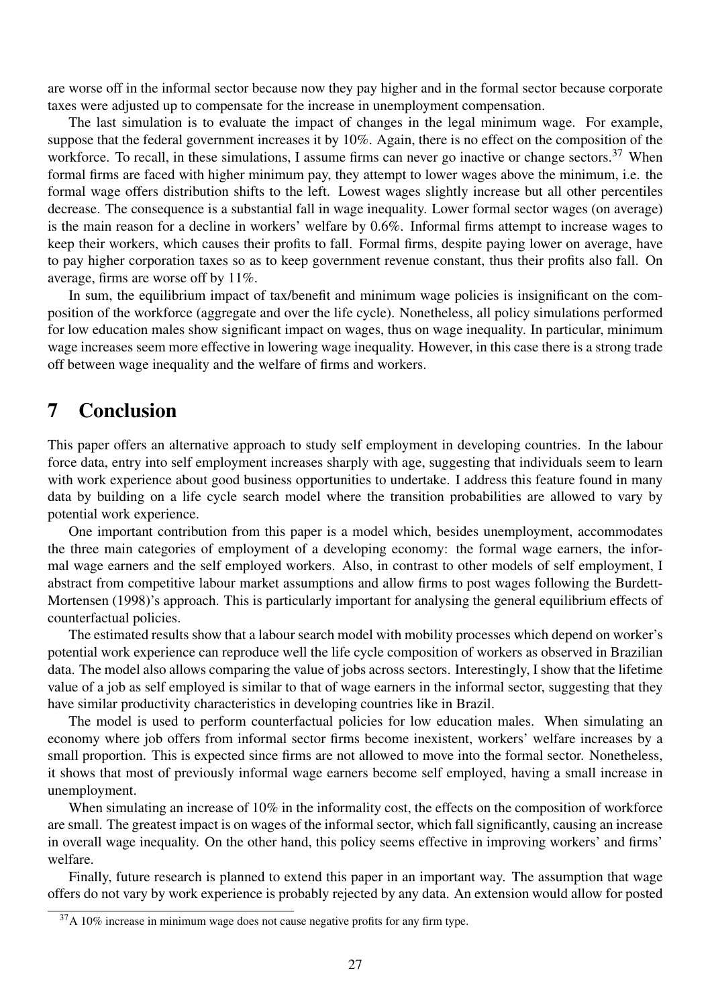are worse off in the informal sector because now they pay higher and in the formal sector because corporate taxes were adjusted up to compensate for the increase in unemployment compensation.

The last simulation is to evaluate the impact of changes in the legal minimum wage. For example, suppose that the federal government increases it by 10%. Again, there is no effect on the composition of the workforce. To recall, in these simulations, I assume firms can never go inactive or change sectors.<sup>37</sup> When formal firms are faced with higher minimum pay, they attempt to lower wages above the minimum, i.e. the formal wage offers distribution shifts to the left. Lowest wages slightly increase but all other percentiles decrease. The consequence is a substantial fall in wage inequality. Lower formal sector wages (on average) is the main reason for a decline in workers' welfare by 0.6%. Informal firms attempt to increase wages to keep their workers, which causes their profits to fall. Formal firms, despite paying lower on average, have to pay higher corporation taxes so as to keep government revenue constant, thus their profits also fall. On average, firms are worse off by 11%.

In sum, the equilibrium impact of tax/benefit and minimum wage policies is insignificant on the composition of the workforce (aggregate and over the life cycle). Nonetheless, all policy simulations performed for low education males show significant impact on wages, thus on wage inequality. In particular, minimum wage increases seem more effective in lowering wage inequality. However, in this case there is a strong trade off between wage inequality and the welfare of firms and workers.

## 7 Conclusion

This paper offers an alternative approach to study self employment in developing countries. In the labour force data, entry into self employment increases sharply with age, suggesting that individuals seem to learn with work experience about good business opportunities to undertake. I address this feature found in many data by building on a life cycle search model where the transition probabilities are allowed to vary by potential work experience.

One important contribution from this paper is a model which, besides unemployment, accommodates the three main categories of employment of a developing economy: the formal wage earners, the informal wage earners and the self employed workers. Also, in contrast to other models of self employment, I abstract from competitive labour market assumptions and allow firms to post wages following the Burdett-Mortensen (1998)'s approach. This is particularly important for analysing the general equilibrium effects of counterfactual policies.

The estimated results show that a labour search model with mobility processes which depend on worker's potential work experience can reproduce well the life cycle composition of workers as observed in Brazilian data. The model also allows comparing the value of jobs across sectors. Interestingly, I show that the lifetime value of a job as self employed is similar to that of wage earners in the informal sector, suggesting that they have similar productivity characteristics in developing countries like in Brazil.

The model is used to perform counterfactual policies for low education males. When simulating an economy where job offers from informal sector firms become inexistent, workers' welfare increases by a small proportion. This is expected since firms are not allowed to move into the formal sector. Nonetheless, it shows that most of previously informal wage earners become self employed, having a small increase in unemployment.

When simulating an increase of 10% in the informality cost, the effects on the composition of workforce are small. The greatest impact is on wages of the informal sector, which fall significantly, causing an increase in overall wage inequality. On the other hand, this policy seems effective in improving workers' and firms' welfare.

Finally, future research is planned to extend this paper in an important way. The assumption that wage offers do not vary by work experience is probably rejected by any data. An extension would allow for posted

 $37A$  10% increase in minimum wage does not cause negative profits for any firm type.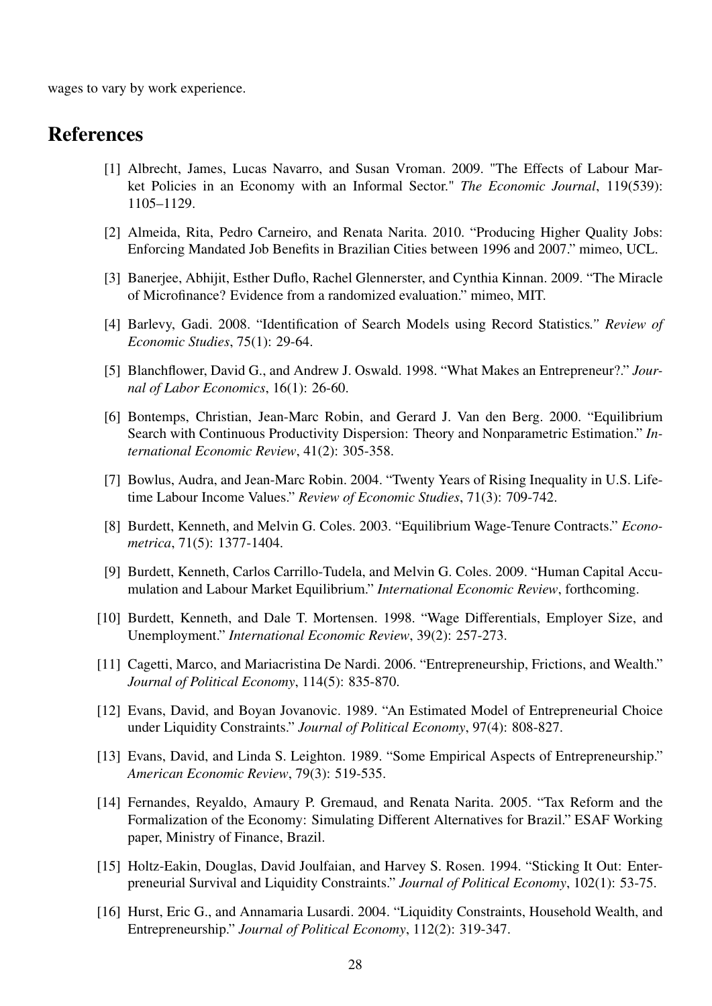wages to vary by work experience.

## References

- [1] Albrecht, James, Lucas Navarro, and Susan Vroman. 2009. "The Effects of Labour Market Policies in an Economy with an Informal Sector." *The Economic Journal*, 119(539): 1105–1129.
- [2] Almeida, Rita, Pedro Carneiro, and Renata Narita. 2010. "Producing Higher Quality Jobs: Enforcing Mandated Job Benefits in Brazilian Cities between 1996 and 2007." mimeo, UCL.
- [3] Banerjee, Abhijit, Esther Duflo, Rachel Glennerster, and Cynthia Kinnan. 2009. "The Miracle of Microfinance? Evidence from a randomized evaluation." mimeo, MIT.
- [4] Barlevy, Gadi. 2008. "Identification of Search Models using Record Statistics*." Review of Economic Studies*, 75(1): 29-64.
- [5] Blanchflower, David G., and Andrew J. Oswald. 1998. "What Makes an Entrepreneur?." *Journal of Labor Economics*, 16(1): 26-60.
- [6] Bontemps, Christian, Jean-Marc Robin, and Gerard J. Van den Berg. 2000. "Equilibrium Search with Continuous Productivity Dispersion: Theory and Nonparametric Estimation." *International Economic Review*, 41(2): 305-358.
- [7] Bowlus, Audra, and Jean-Marc Robin. 2004. "Twenty Years of Rising Inequality in U.S. Lifetime Labour Income Values." *Review of Economic Studies*, 71(3): 709-742.
- [8] Burdett, Kenneth, and Melvin G. Coles. 2003. "Equilibrium Wage-Tenure Contracts." *Econometrica*, 71(5): 1377-1404.
- [9] Burdett, Kenneth, Carlos Carrillo-Tudela, and Melvin G. Coles. 2009. "Human Capital Accumulation and Labour Market Equilibrium." *International Economic Review*, forthcoming.
- [10] Burdett, Kenneth, and Dale T. Mortensen. 1998. "Wage Differentials, Employer Size, and Unemployment." *International Economic Review*, 39(2): 257-273.
- [11] Cagetti, Marco, and Mariacristina De Nardi. 2006. "Entrepreneurship, Frictions, and Wealth." *Journal of Political Economy*, 114(5): 835-870.
- [12] Evans, David, and Boyan Jovanovic. 1989. "An Estimated Model of Entrepreneurial Choice under Liquidity Constraints." *Journal of Political Economy*, 97(4): 808-827.
- [13] Evans, David, and Linda S. Leighton. 1989. "Some Empirical Aspects of Entrepreneurship." *American Economic Review*, 79(3): 519-535.
- [14] Fernandes, Reyaldo, Amaury P. Gremaud, and Renata Narita. 2005. "Tax Reform and the Formalization of the Economy: Simulating Different Alternatives for Brazil." ESAF Working paper, Ministry of Finance, Brazil.
- [15] Holtz-Eakin, Douglas, David Joulfaian, and Harvey S. Rosen. 1994. "Sticking It Out: Enterpreneurial Survival and Liquidity Constraints." *Journal of Political Economy*, 102(1): 53-75.
- [16] Hurst, Eric G., and Annamaria Lusardi. 2004. "Liquidity Constraints, Household Wealth, and Entrepreneurship." *Journal of Political Economy*, 112(2): 319-347.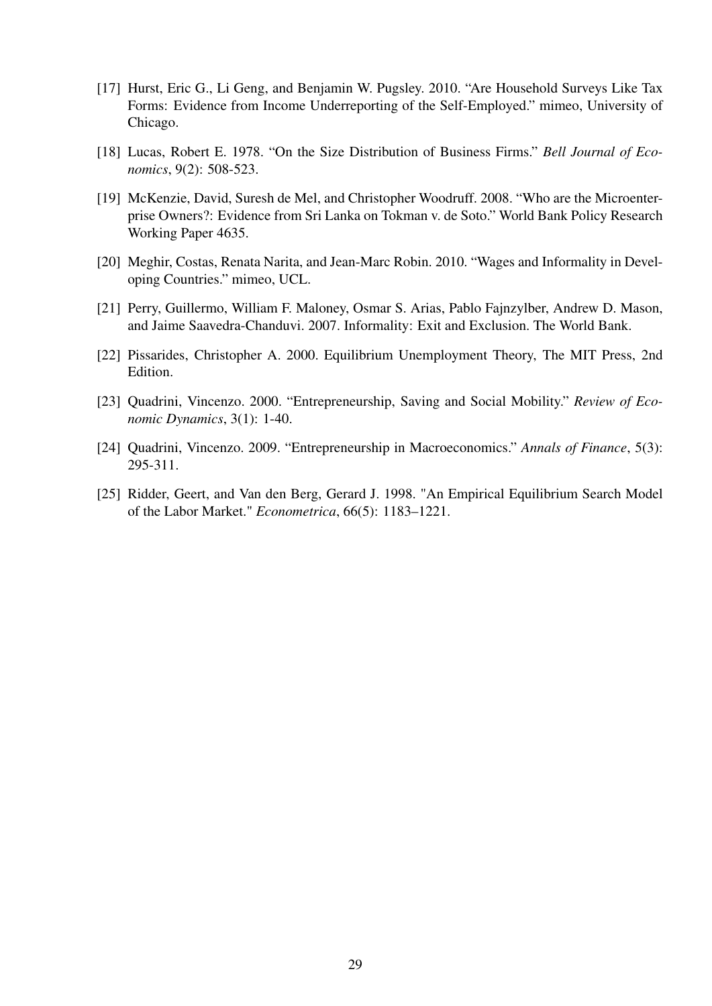- [17] Hurst, Eric G., Li Geng, and Benjamin W. Pugsley. 2010. "Are Household Surveys Like Tax Forms: Evidence from Income Underreporting of the Self-Employed." mimeo, University of Chicago.
- [18] Lucas, Robert E. 1978. "On the Size Distribution of Business Firms." *Bell Journal of Economics*, 9(2): 508-523.
- [19] McKenzie, David, Suresh de Mel, and Christopher Woodruff. 2008. "Who are the Microenterprise Owners?: Evidence from Sri Lanka on Tokman v. de Soto." World Bank Policy Research Working Paper 4635.
- [20] Meghir, Costas, Renata Narita, and Jean-Marc Robin. 2010. "Wages and Informality in Developing Countries." mimeo, UCL.
- [21] Perry, Guillermo, William F. Maloney, Osmar S. Arias, Pablo Fajnzylber, Andrew D. Mason, and Jaime Saavedra-Chanduvi. 2007. Informality: Exit and Exclusion. The World Bank.
- [22] Pissarides, Christopher A. 2000. Equilibrium Unemployment Theory, The MIT Press, 2nd Edition.
- [23] Quadrini, Vincenzo. 2000. "Entrepreneurship, Saving and Social Mobility." *Review of Economic Dynamics*, 3(1): 1-40.
- [24] Quadrini, Vincenzo. 2009. "Entrepreneurship in Macroeconomics." *Annals of Finance*, 5(3): 295-311.
- [25] Ridder, Geert, and Van den Berg, Gerard J. 1998. "An Empirical Equilibrium Search Model of the Labor Market." *Econometrica*, 66(5): 1183–1221.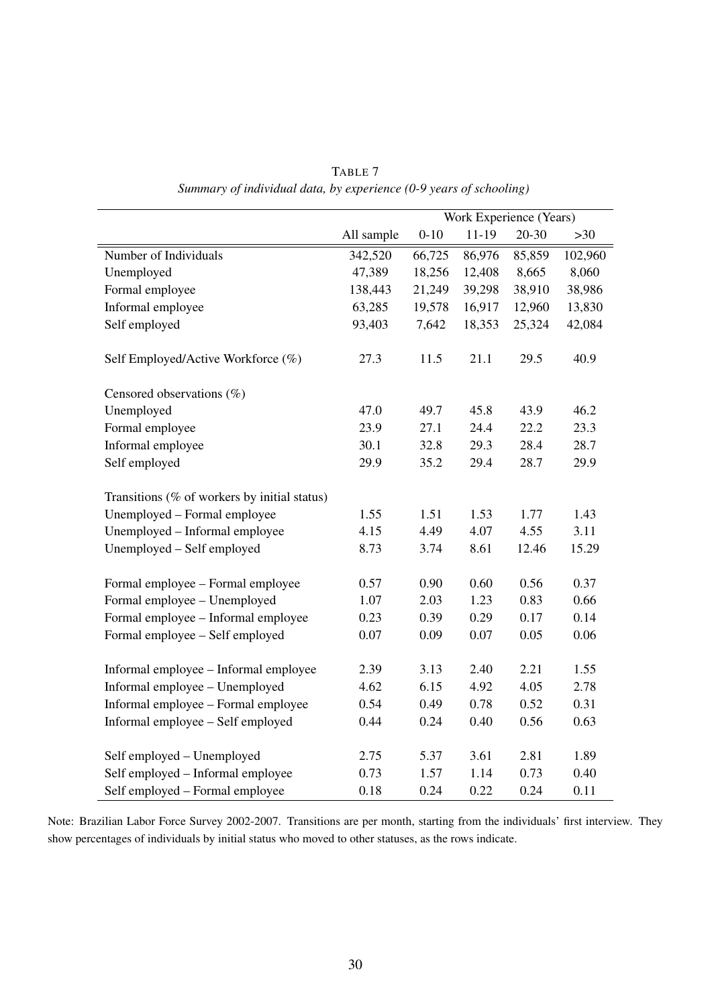|                                              |            | Work Experience (Years) |         |           |         |
|----------------------------------------------|------------|-------------------------|---------|-----------|---------|
|                                              | All sample | $0 - 10$                | $11-19$ | $20 - 30$ | $>30$   |
| Number of Individuals                        | 342,520    | 66,725                  | 86,976  | 85,859    | 102,960 |
| Unemployed                                   | 47,389     | 18,256                  | 12,408  | 8,665     | 8,060   |
| Formal employee                              | 138,443    | 21,249                  | 39,298  | 38,910    | 38,986  |
| Informal employee                            | 63,285     | 19,578                  | 16,917  | 12,960    | 13,830  |
| Self employed                                | 93,403     | 7,642                   | 18,353  | 25,324    | 42,084  |
| Self Employed/Active Workforce (%)           | 27.3       | 11.5                    | 21.1    | 29.5      | 40.9    |
| Censored observations (%)                    |            |                         |         |           |         |
| Unemployed                                   | 47.0       | 49.7                    | 45.8    | 43.9      | 46.2    |
| Formal employee                              | 23.9       | 27.1                    | 24.4    | 22.2      | 23.3    |
| Informal employee                            | 30.1       | 32.8                    | 29.3    | 28.4      | 28.7    |
| Self employed                                | 29.9       | 35.2                    | 29.4    | 28.7      | 29.9    |
| Transitions (% of workers by initial status) |            |                         |         |           |         |
| Unemployed - Formal employee                 | 1.55       | 1.51                    | 1.53    | 1.77      | 1.43    |
| Unemployed - Informal employee               | 4.15       | 4.49                    | 4.07    | 4.55      | 3.11    |
| Unemployed - Self employed                   | 8.73       | 3.74                    | 8.61    | 12.46     | 15.29   |
| Formal employee - Formal employee            | 0.57       | 0.90                    | 0.60    | 0.56      | 0.37    |
| Formal employee - Unemployed                 | 1.07       | 2.03                    | 1.23    | 0.83      | 0.66    |
| Formal employee - Informal employee          | 0.23       | 0.39                    | 0.29    | 0.17      | 0.14    |
| Formal employee - Self employed              | 0.07       | 0.09                    | 0.07    | 0.05      | 0.06    |
| Informal employee - Informal employee        | 2.39       | 3.13                    | 2.40    | 2.21      | 1.55    |
| Informal employee - Unemployed               | 4.62       | 6.15                    | 4.92    | 4.05      | 2.78    |
| Informal employee - Formal employee          | 0.54       | 0.49                    | 0.78    | 0.52      | 0.31    |
| Informal employee - Self employed            | 0.44       | 0.24                    | 0.40    | 0.56      | 0.63    |
| Self employed - Unemployed                   | 2.75       | 5.37                    | 3.61    | 2.81      | 1.89    |
| Self employed - Informal employee            | 0.73       | 1.57                    | 1.14    | 0.73      | 0.40    |
| Self employed - Formal employee              | 0.18       | 0.24                    | 0.22    | 0.24      | 0.11    |

TABLE 7 *Summary of individual data, by experience (0-9 years of schooling)*

Note: Brazilian Labor Force Survey 2002-2007. Transitions are per month, starting from the individuals' first interview. They show percentages of individuals by initial status who moved to other statuses, as the rows indicate.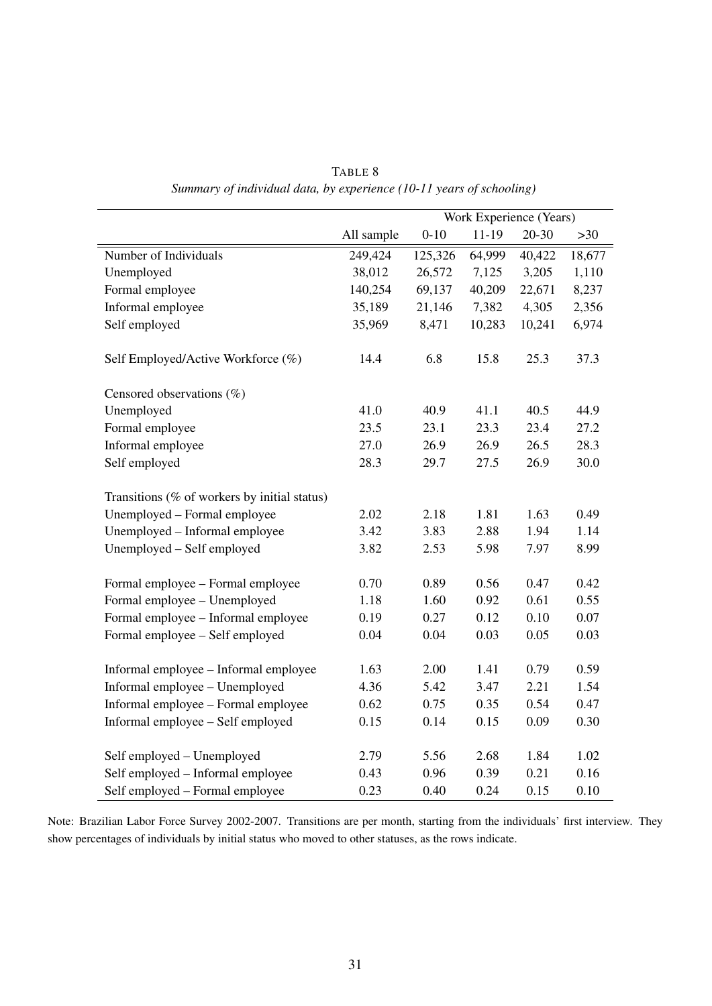|                                              | Work Experience (Years) |          |           |           |        |
|----------------------------------------------|-------------------------|----------|-----------|-----------|--------|
|                                              | All sample              | $0 - 10$ | $11 - 19$ | $20 - 30$ | $>30$  |
| Number of Individuals                        | 249,424                 | 125,326  | 64,999    | 40,422    | 18,677 |
| Unemployed                                   | 38,012                  | 26,572   | 7,125     | 3,205     | 1,110  |
| Formal employee                              | 140,254                 | 69,137   | 40,209    | 22,671    | 8,237  |
| Informal employee                            | 35,189                  | 21,146   | 7,382     | 4,305     | 2,356  |
| Self employed                                | 35,969                  | 8,471    | 10,283    | 10,241    | 6,974  |
| Self Employed/Active Workforce (%)           | 14.4                    | 6.8      | 15.8      | 25.3      | 37.3   |
| Censored observations $(\%)$                 |                         |          |           |           |        |
| Unemployed                                   | 41.0                    | 40.9     | 41.1      | 40.5      | 44.9   |
| Formal employee                              | 23.5                    | 23.1     | 23.3      | 23.4      | 27.2   |
| Informal employee                            | 27.0                    | 26.9     | 26.9      | 26.5      | 28.3   |
| Self employed                                | 28.3                    | 29.7     | 27.5      | 26.9      | 30.0   |
| Transitions (% of workers by initial status) |                         |          |           |           |        |
| Unemployed – Formal employee                 | 2.02                    | 2.18     | 1.81      | 1.63      | 0.49   |
| Unemployed - Informal employee               | 3.42                    | 3.83     | 2.88      | 1.94      | 1.14   |
| Unemployed - Self employed                   | 3.82                    | 2.53     | 5.98      | 7.97      | 8.99   |
| Formal employee - Formal employee            | 0.70                    | 0.89     | 0.56      | 0.47      | 0.42   |
| Formal employee - Unemployed                 | 1.18                    | 1.60     | 0.92      | 0.61      | 0.55   |
| Formal employee - Informal employee          | 0.19                    | 0.27     | 0.12      | 0.10      | 0.07   |
| Formal employee - Self employed              | 0.04                    | 0.04     | 0.03      | 0.05      | 0.03   |
| Informal employee - Informal employee        | 1.63                    | 2.00     | 1.41      | 0.79      | 0.59   |
| Informal employee - Unemployed               | 4.36                    | 5.42     | 3.47      | 2.21      | 1.54   |
| Informal employee - Formal employee          | 0.62                    | 0.75     | 0.35      | 0.54      | 0.47   |
| Informal employee - Self employed            | 0.15                    | 0.14     | 0.15      | 0.09      | 0.30   |
| Self employed - Unemployed                   | 2.79                    | 5.56     | 2.68      | 1.84      | 1.02   |
| Self employed - Informal employee            | 0.43                    | 0.96     | 0.39      | 0.21      | 0.16   |
| Self employed – Formal employee              | 0.23                    | 0.40     | 0.24      | 0.15      | 0.10   |

TABLE 8 *Summary of individual data, by experience (10-11 years of schooling)*

Note: Brazilian Labor Force Survey 2002-2007. Transitions are per month, starting from the individuals' first interview. They show percentages of individuals by initial status who moved to other statuses, as the rows indicate.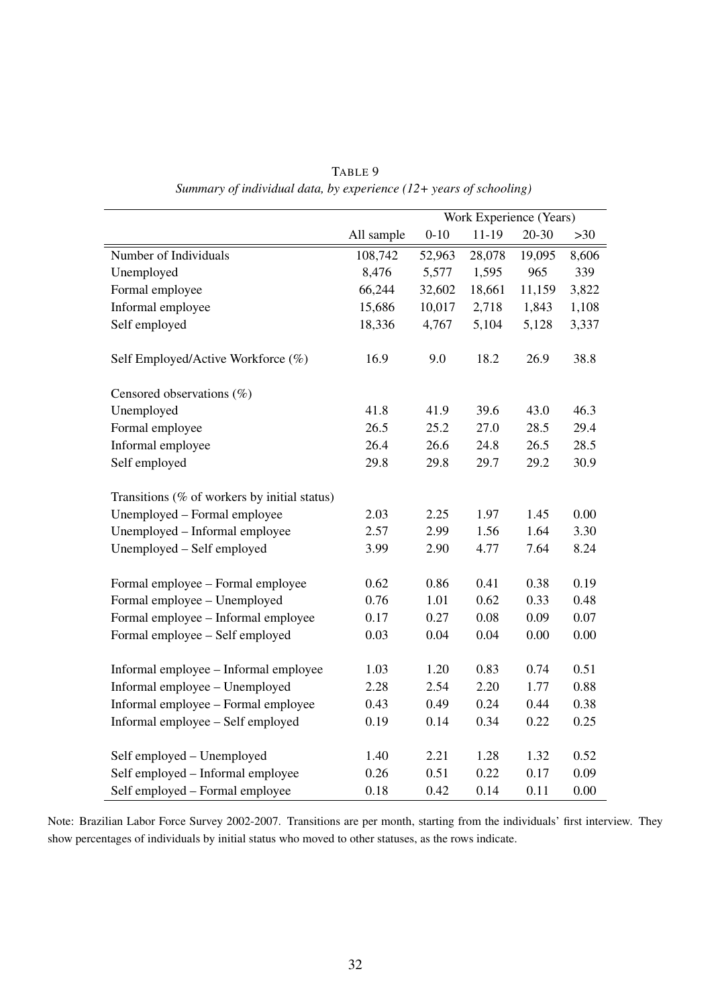|                                              |            | Work Experience (Years) |           |           |       |
|----------------------------------------------|------------|-------------------------|-----------|-----------|-------|
|                                              | All sample | $0 - 10$                | $11 - 19$ | $20 - 30$ | $>30$ |
| Number of Individuals                        | 108,742    | 52,963                  | 28,078    | 19,095    | 8,606 |
| Unemployed                                   | 8,476      | 5,577                   | 1,595     | 965       | 339   |
| Formal employee                              | 66,244     | 32,602                  | 18,661    | 11,159    | 3,822 |
| Informal employee                            | 15,686     | 10,017                  | 2,718     | 1,843     | 1,108 |
| Self employed                                | 18,336     | 4,767                   | 5,104     | 5,128     | 3,337 |
| Self Employed/Active Workforce (%)           | 16.9       | 9.0                     | 18.2      | 26.9      | 38.8  |
| Censored observations $(\%)$                 |            |                         |           |           |       |
| Unemployed                                   | 41.8       | 41.9                    | 39.6      | 43.0      | 46.3  |
| Formal employee                              | 26.5       | 25.2                    | 27.0      | 28.5      | 29.4  |
| Informal employee                            | 26.4       | 26.6                    | 24.8      | 26.5      | 28.5  |
| Self employed                                | 29.8       | 29.8                    | 29.7      | 29.2      | 30.9  |
| Transitions (% of workers by initial status) |            |                         |           |           |       |
| Unemployed - Formal employee                 | 2.03       | 2.25                    | 1.97      | 1.45      | 0.00  |
| Unemployed - Informal employee               | 2.57       | 2.99                    | 1.56      | 1.64      | 3.30  |
| Unemployed - Self employed                   | 3.99       | 2.90                    | 4.77      | 7.64      | 8.24  |
| Formal employee – Formal employee            | 0.62       | 0.86                    | 0.41      | 0.38      | 0.19  |
| Formal employee - Unemployed                 | 0.76       | 1.01                    | 0.62      | 0.33      | 0.48  |
| Formal employee - Informal employee          | 0.17       | 0.27                    | 0.08      | 0.09      | 0.07  |
| Formal employee - Self employed              | 0.03       | 0.04                    | 0.04      | 0.00      | 0.00  |
|                                              |            |                         |           |           |       |
| Informal employee - Informal employee        | 1.03       | 1.20                    | 0.83      | 0.74      | 0.51  |
| Informal employee - Unemployed               | 2.28       | 2.54                    | 2.20      | 1.77      | 0.88  |
| Informal employee - Formal employee          | 0.43       | 0.49                    | 0.24      | 0.44      | 0.38  |
| Informal employee - Self employed            | 0.19       | 0.14                    | 0.34      | 0.22      | 0.25  |
| Self employed - Unemployed                   | 1.40       | 2.21                    | 1.28      | 1.32      | 0.52  |
| Self employed - Informal employee            | 0.26       | 0.51                    | 0.22      | 0.17      | 0.09  |
| Self employed - Formal employee              | 0.18       | 0.42                    | 0.14      | 0.11      | 0.00  |

TABLE 9 *Summary of individual data, by experience (12+ years of schooling)*

Note: Brazilian Labor Force Survey 2002-2007. Transitions are per month, starting from the individuals' first interview. They show percentages of individuals by initial status who moved to other statuses, as the rows indicate.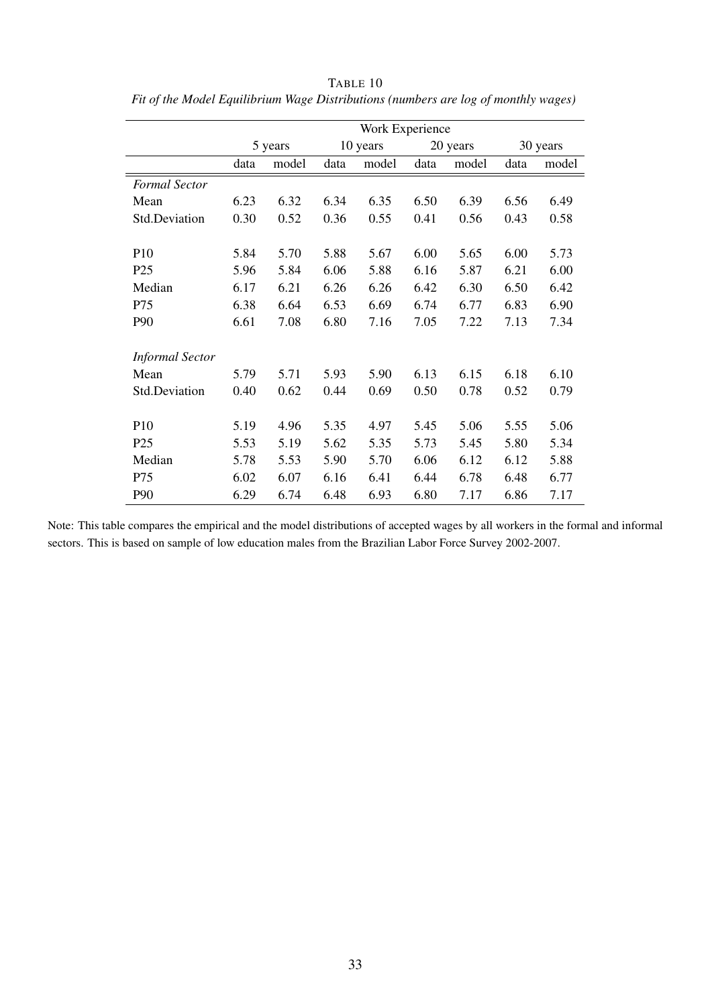|                        | Work Experience |         |      |          |      |          |          |       |
|------------------------|-----------------|---------|------|----------|------|----------|----------|-------|
|                        |                 | 5 years |      | 10 years |      | 20 years | 30 years |       |
|                        | data            | model   | data | model    | data | model    | data     | model |
| <b>Formal Sector</b>   |                 |         |      |          |      |          |          |       |
| Mean                   | 6.23            | 6.32    | 6.34 | 6.35     | 6.50 | 6.39     | 6.56     | 6.49  |
| Std.Deviation          | 0.30            | 0.52    | 0.36 | 0.55     | 0.41 | 0.56     | 0.43     | 0.58  |
|                        |                 |         |      |          |      |          |          |       |
| P10                    | 5.84            | 5.70    | 5.88 | 5.67     | 6.00 | 5.65     | 6.00     | 5.73  |
| P <sub>25</sub>        | 5.96            | 5.84    | 6.06 | 5.88     | 6.16 | 5.87     | 6.21     | 6.00  |
| Median                 | 6.17            | 6.21    | 6.26 | 6.26     | 6.42 | 6.30     | 6.50     | 6.42  |
| P75                    | 6.38            | 6.64    | 6.53 | 6.69     | 6.74 | 6.77     | 6.83     | 6.90  |
| P90                    | 6.61            | 7.08    | 6.80 | 7.16     | 7.05 | 7.22     | 7.13     | 7.34  |
| <b>Informal Sector</b> |                 |         |      |          |      |          |          |       |
| Mean                   | 5.79            | 5.71    | 5.93 | 5.90     | 6.13 | 6.15     | 6.18     | 6.10  |
| Std.Deviation          | 0.40            | 0.62    | 0.44 | 0.69     | 0.50 | 0.78     | 0.52     | 0.79  |
|                        |                 |         |      |          |      |          |          |       |
| P10                    | 5.19            | 4.96    | 5.35 | 4.97     | 5.45 | 5.06     | 5.55     | 5.06  |
| P <sub>25</sub>        | 5.53            | 5.19    | 5.62 | 5.35     | 5.73 | 5.45     | 5.80     | 5.34  |
| Median                 | 5.78            | 5.53    | 5.90 | 5.70     | 6.06 | 6.12     | 6.12     | 5.88  |
| P75                    | 6.02            | 6.07    | 6.16 | 6.41     | 6.44 | 6.78     | 6.48     | 6.77  |
| P90                    | 6.29            | 6.74    | 6.48 | 6.93     | 6.80 | 7.17     | 6.86     | 7.17  |

TABLE 10 *Fit of the Model Equilibrium Wage Distributions (numbers are log of monthly wages)*

Note: This table compares the empirical and the model distributions of accepted wages by all workers in the formal and informal sectors. This is based on sample of low education males from the Brazilian Labor Force Survey 2002-2007.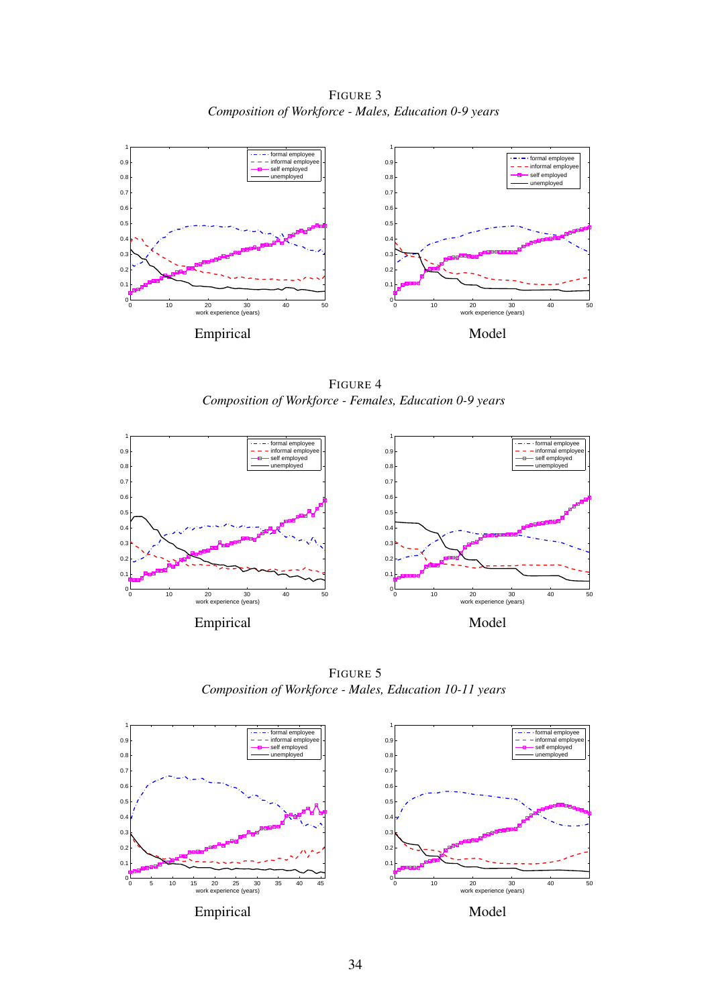FIGURE 3 *Composition of Workforce - Males, Education 0-9 years*



FIGURE 4 *Composition of Workforce - Females, Education 0-9 years*



FIGURE 5 *Composition of Workforce - Males, Education 10-11 years*

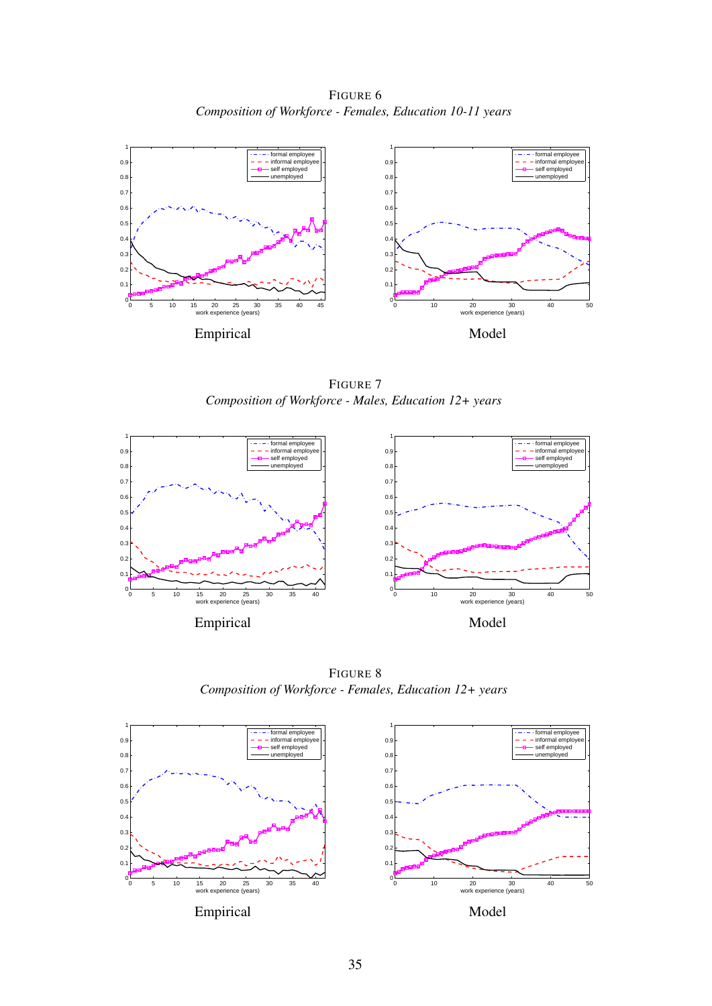FIGURE 6 *Composition of Workforce - Females, Education 10-11 years*



FIGURE 7 *Composition of Workforce - Males, Education 12+ years*



FIGURE 8 *Composition of Workforce - Females, Education 12+ years*

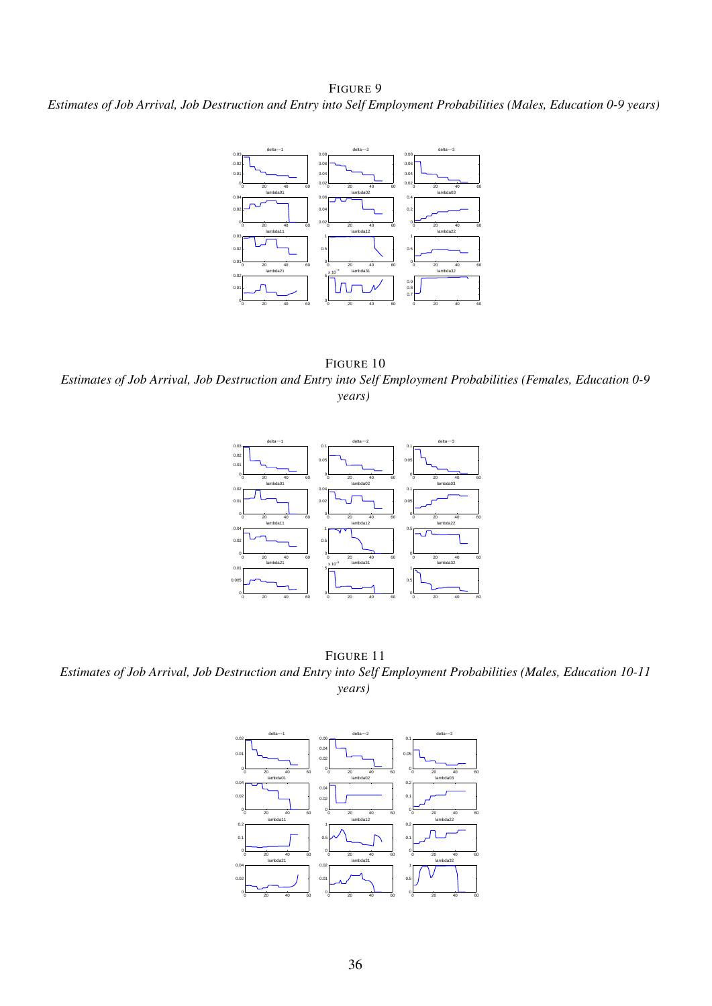#### FIGURE 9

*Estimates of Job Arrival, Job Destruction and Entry into Self Employment Probabilities (Males, Education 0-9 years)*



FIGURE 10 *Estimates of Job Arrival, Job Destruction and Entry into Self Employment Probabilities (Females, Education 0-9 years)*



FIGURE 11 *Estimates of Job Arrival, Job Destruction and Entry into Self Employment Probabilities (Males, Education 10-11 years)*

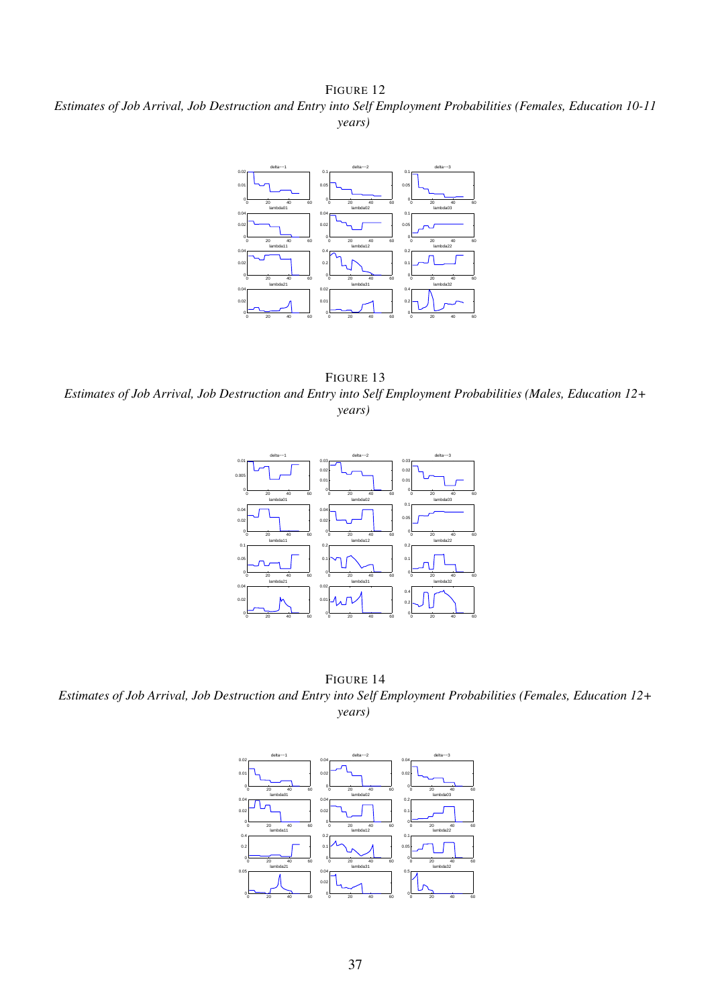FIGURE 12 *Estimates of Job Arrival, Job Destruction and Entry into Self Employment Probabilities (Females, Education 10-11 years)*



FIGURE 13 *Estimates of Job Arrival, Job Destruction and Entry into Self Employment Probabilities (Males, Education 12+ years)*



FIGURE 14 *Estimates of Job Arrival, Job Destruction and Entry into Self Employment Probabilities (Females, Education 12+ years)*